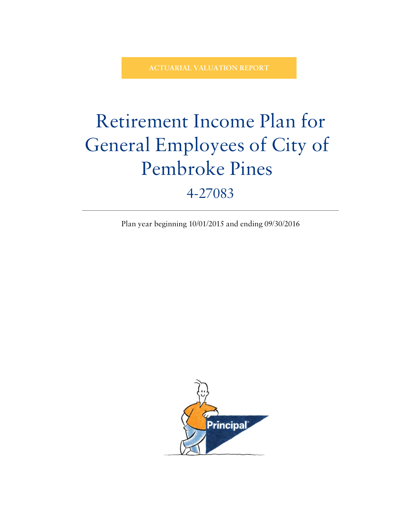**ACTUARIAL VALUATION REPORT**

# Retirement Income Plan for General Employees of City of Pembroke Pines

# 4-27083

Plan year beginning 10/01/2015 and ending 09/30/2016

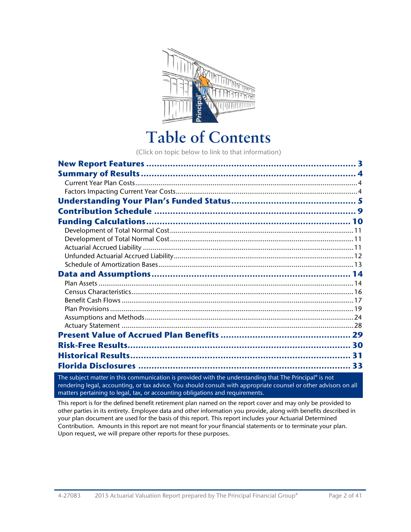<span id="page-1-0"></span>

# **Table of Contents**

(Click on topic below to link to that information)

| 33 |
|----|

The subject matter in this communication is provided with the understanding that The Principal® is not rendering legal, accounting, or tax advice. You should consult with appropriate counsel or other advisors on all matters pertaining to legal, tax, or accounting obligations and requirements.

This report is for the defined benefit retirement plan named on the report cover and may only be provided to other parties in its entirety. Employee data and other information you provide, along with benefits described in your plan document are used for the basis of this report. This report includes your Actuarial Determined Contribution. Amounts in this report are not meant for your financial statements or to terminate your plan. Upon request, we will prepare other reports for these purposes.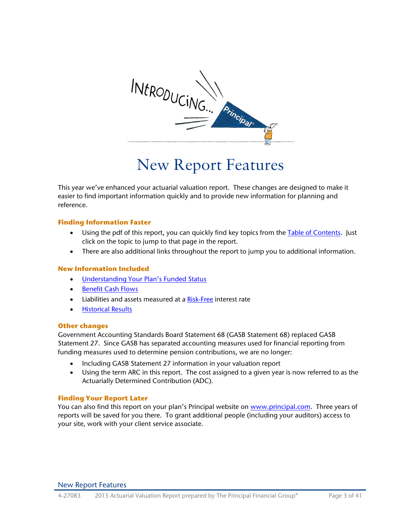

# <span id="page-2-0"></span>New Report Features

This year we've enhanced your actuarial valuation report. These changes are designed to make it easier to find important information quickly and to provide new information for planning and reference.

## **Finding Information Faster**

- Using the pdf of this report, you can quickly find key topics from the [Table of Contents.](#page-1-0) Just click on the topic to jump to that page in the report.
- There are also additional links throughout the report to jump you to additional information.

## **New Information Included**

- [Understanding Your Plan's Funded Status](#page-4-1)
- [Benefit Cash Flows](#page-16-1)
- Liabilities and assets measured at a [Risk-Free](#page-29-1) interest rate
- [Historical Results](#page-30-1)

## **Other changes**

Government Accounting Standards Board Statement 68 (GASB Statement 68) replaced GASB Statement 27. Since GASB has separated accounting measures used for financial reporting from funding measures used to determine pension contributions, we are no longer:

- Including GASB Statement 27 information in your valuation report
- Using the term ARC in this report. The cost assigned to a given year is now referred to as the Actuarially Determined Contribution (ADC).

## **Finding Your Report Later**

You can also find this report on your plan's Principal website on [www.principal.com.](http://www.principal.com/) Three years of reports will be saved for you there. To grant additional people (including your auditors) access to your site, work with your client service associate.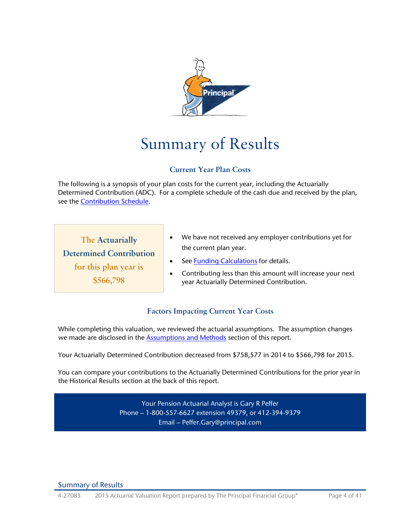

# Summary of Results

# <span id="page-3-1"></span><span id="page-3-0"></span>**Current Year Plan Costs**

<span id="page-3-3"></span>The following is a synopsis of your plan costs for the current year, including the Actuarially Determined Contribution (ADC). For a complete schedule of the cash due and received by the plan, see the [Contribution Schedule.](#page-8-1)

**The Actuarially Determined Contribution for this plan year is \$566,798**

- We have not received any employer contributions yet for the current plan year.
- See [Funding Calculations](#page-9-1) for details.
- <span id="page-3-2"></span>• Contributing less than this amount will increase your next year Actuarially Determined Contribution.

# **Factors Impacting Current Year Costs**

While completing this valuation, we reviewed the actuarial assumptions. The assumption changes we made are disclosed in the **Assumptions and Methods** section of this report.

Your Actuarially Determined Contribution decreased from \$758,577 in 2014 to \$566,798 for 2015.

You can compare your contributions to the Actuarially Determined Contributions for the prior year in the Historical Results section at the back of this report.

> Your Pension Actuarial Analyst is Gary R Peffer Phone – 1-800-557-6627 extension 49379, or 412-394-9379 Email – Peffer.Gary@principal.com

Summary of Results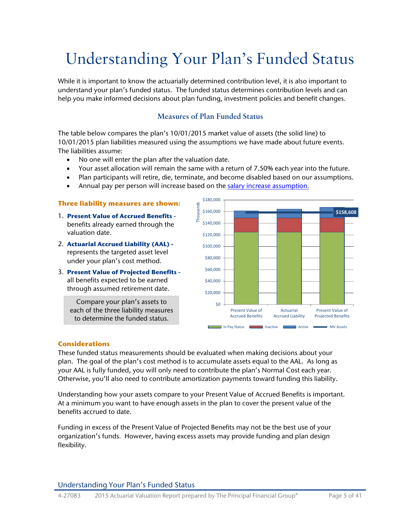# <span id="page-4-1"></span>Understanding Your Plan's Funded Status

While it is important to know the actuarially determined contribution level, it is also important to understand your plan's funded status. The funded status determines contribution levels and can help you make informed decisions about plan funding, investment policies and benefit changes.

# <span id="page-4-0"></span>**Measures of Plan Funded Status**

The table below compares the plan's 10/01/2015 market value of assets (the solid line) to 10/01/2015 plan liabilities measured using the assumptions we have made about future events. The liabilities assume:

- No one will enter the plan after the valuation date.
- Your asset allocation will remain the same with a return of 7.50% each year into the future.
- Plan participants will retire, die, terminate, and become disabled based on our assumptions.
- Annual pay per person will increase based on the [salary increase assumption.](#page-24-0)

## **Three liability measures are shown:**

- 1. **Present Value of Accrued Benefits**  benefits already earned through the valuation date.
- 2. **Actuarial Accrued Liability (AAL)**  represents the targeted asset level under your plan's cost method.
- 3. **Present Value of Projected Benefits**  all benefits expected to be earned through assumed retirement date.

Compare your plan's assets to each of the three liability measures to determine the funded status.



## **Considerations**

These funded status measurements should be evaluated when making decisions about your plan. The goal of the plan's cost method is to accumulate assets equal to the AAL. As long as your AAL is fully funded, you will only need to contribute the plan's Normal Cost each year. Otherwise, you'll also need to contribute amortization payments toward funding this liability.

Understanding how your assets compare to your Present Value of Accrued Benefits is important. At a minimum you want to have enough assets in the plan to cover the present value of the benefits accrued to date.

Funding in excess of the Present Value of Projected Benefits may not be the best use of your organization's funds. However, having excess assets may provide funding and plan design flexibility.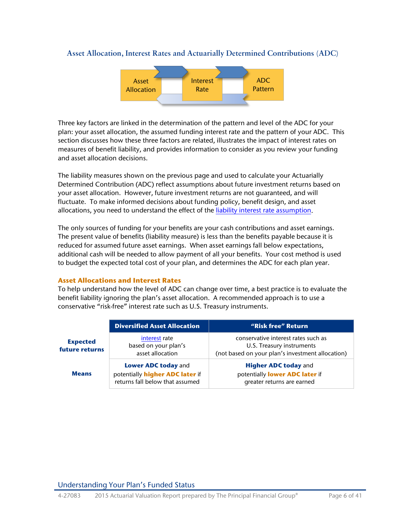## <span id="page-5-0"></span>**Asset Allocation, Interest Rates and Actuarially Determined Contributions (ADC)**



Three key factors are linked in the determination of the pattern and level of the ADC for your plan: your asset allocation, the assumed funding interest rate and the pattern of your ADC. This section discusses how these three factors are related, illustrates the impact of interest rates on measures of benefit liability, and provides information to consider as you review your funding and asset allocation decisions.

The liability measures shown on the previous page and used to calculate your Actuarially Determined Contribution (ADC) reflect assumptions about future investment returns based on your asset allocation. However, future investment returns are not guaranteed, and will fluctuate. To make informed decisions about funding policy, benefit design, and asset allocations, you need to understand the effect of the [liability interest rate assumption.](#page-23-2)

The only sources of funding for your benefits are your cash contributions and asset earnings. The present value of benefits (liability measure) is less than the benefits payable because it is reduced for assumed future asset earnings. When asset earnings fall below expectations, additional cash will be needed to allow payment of all your benefits. Your cost method is used to budget the expected total cost of your plan, and determines the ADC for each plan year.

## **Asset Allocations and Interest Rates**

To help understand how the level of ADC can change over time, a best practice is to evaluate the benefit liability ignoring the plan's asset allocation. A recommended approach is to use a conservative "risk-free" interest rate such as U.S. Treasury instruments.

|                                   | <b>Diversified Asset Allocation</b>                                                              | "Risk free" Return                                                                                                   |
|-----------------------------------|--------------------------------------------------------------------------------------------------|----------------------------------------------------------------------------------------------------------------------|
| <b>Expected</b><br>future returns | interest rate<br>based on your plan's<br>asset allocation                                        | conservative interest rates such as<br>U.S. Treasury instruments<br>(not based on your plan's investment allocation) |
| <b>Means</b>                      | <b>Lower ADC today and</b><br>potentially higher ADC later if<br>returns fall below that assumed | <b>Higher ADC today and</b><br>potentially lower ADC later if<br>greater returns are earned                          |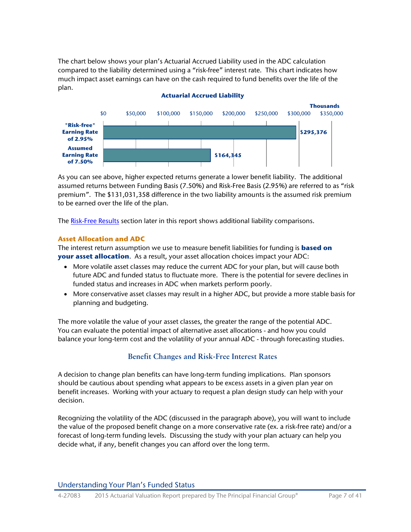The chart below shows your plan's Actuarial Accrued Liability used in the ADC calculation compared to the liability determined using a "risk-free" interest rate. This chart indicates how much impact asset earnings can have on the cash required to fund benefits over the life of the plan.



### **Actuarial Accrued Liability**

As you can see above, higher expected returns generate a lower benefit liability. The additional assumed returns between Funding Basis (7.50%) and Risk-Free Basis (2.95%) are referred to as "risk premium". The \$131,031,358 difference in the two liability amounts is the assumed risk premium to be earned over the life of the plan.

The [Risk-Free Results](#page-29-1) section later in this report shows additional liability comparisons.

## **Asset Allocation and ADC**

The interest return assumption we use to measure benefit liabilities for funding is **based on your asset allocation**. As a result, your asset allocation choices impact your ADC:

- More volatile asset classes may reduce the current ADC for your plan, but will cause both future ADC and funded status to fluctuate more. There is the potential for severe declines in funded status and increases in ADC when markets perform poorly.
- More conservative asset classes may result in a higher ADC, but provide a more stable basis for planning and budgeting.

The more volatile the value of your asset classes, the greater the range of the potential ADC. You can evaluate the potential impact of alternative asset allocations - and how you could balance your long-term cost and the volatility of your annual ADC - through forecasting studies.

# **Benefit Changes and Risk-Free Interest Rates**

A decision to change plan benefits can have long-term funding implications. Plan sponsors should be cautious about spending what appears to be excess assets in a given plan year on benefit increases. Working with your actuary to request a plan design study can help with your decision.

Recognizing the volatility of the ADC (discussed in the paragraph above), you will want to include the value of the proposed benefit change on a more conservative rate (ex. a risk-free rate) and/or a forecast of long-term funding levels. Discussing the study with your plan actuary can help you decide what, if any, benefit changes you can afford over the long term.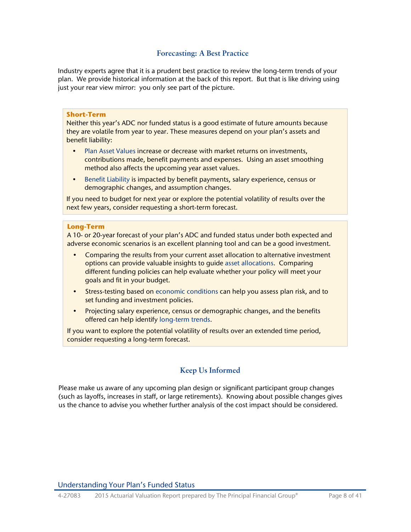# **Forecasting: A Best Practice**

Industry experts agree that it is a prudent best practice to review the long-term trends of your plan. We provide historical information at the back of this report. But that is like driving using just your rear view mirror: you only see part of the picture.

## **Short-Term**

Neither this year's ADC nor funded status is a good estimate of future amounts because they are volatile from year to year. These measures depend on your plan's assets and benefit liability:

- Plan Asset Values increase or decrease with market returns on investments, contributions made, benefit payments and expenses. Using an asset smoothing method also affects the upcoming year asset values.
- Benefit Liability is impacted by benefit payments, salary experience, census or demographic changes, and assumption changes.

If you need to budget for next year or explore the potential volatility of results over the next few years, consider requesting a short-term forecast.

### **Long-Term**

A 10- or 20-year forecast of your plan's ADC and funded status under both expected and adverse economic scenarios is an excellent planning tool and can be a good investment.

- Comparing the results from your current asset allocation to alternative investment options can provide valuable insights to guide asset allocations. Comparing different funding policies can help evaluate whether your policy will meet your goals and fit in your budget.
- Stress-testing based on economic conditions can help you assess plan risk, and to set funding and investment policies.
- Projecting salary experience, census or demographic changes, and the benefits offered can help identify long-term trends.

If you want to explore the potential volatility of results over an extended time period, consider requesting a long-term forecast.

# **Keep Us Informed**

Please make us aware of any upcoming plan design or significant participant group changes (such as layoffs, increases in staff, or large retirements). Knowing about possible changes gives us the chance to advise you whether further analysis of the cost impact should be considered.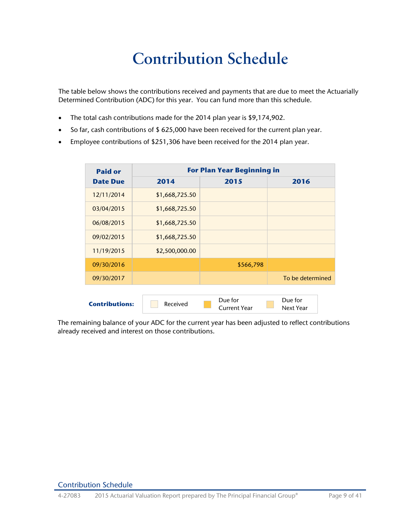# <span id="page-8-0"></span>**Contribution Schedule**

<span id="page-8-1"></span>The table below shows the contributions received and payments that are due to meet the Actuarially Determined Contribution (ADC) for this year. You can fund more than this schedule.

- The total cash contributions made for the 2014 plan year is \$9,174,902.
- So far, cash contributions of \$ 625,000 have been received for the current plan year.
- Employee contributions of \$251,306 have been received for the 2014 plan year.

| <b>Paid or</b>        | <b>For Plan Year Beginning in</b> |                                |                      |
|-----------------------|-----------------------------------|--------------------------------|----------------------|
| <b>Date Due</b>       | 2014                              | 2015                           | 2016                 |
| 12/11/2014            | \$1,668,725.50                    |                                |                      |
| 03/04/2015            | \$1,668,725.50                    |                                |                      |
| 06/08/2015            | \$1,668,725.50                    |                                |                      |
| 09/02/2015            | \$1,668,725.50                    |                                |                      |
| 11/19/2015            | \$2,500,000.00                    |                                |                      |
| 09/30/2016            |                                   | \$566,798                      |                      |
| 09/30/2017            |                                   |                                | To be determined     |
|                       |                                   |                                |                      |
| <b>Contributions:</b> | Received                          | Due for<br><b>Current Year</b> | Due for<br>Next Year |

The remaining balance of your ADC for the current year has been adjusted to reflect contributions already received and interest on those contributions.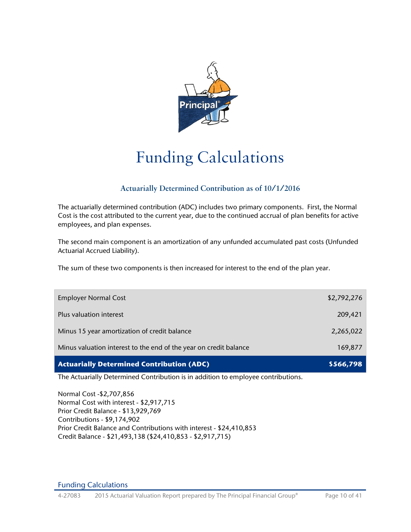<span id="page-9-0"></span>

# Funding Calculations

# **Actuarially Determined Contribution as of 10/1/2016**

<span id="page-9-1"></span>The actuarially determined contribution (ADC) includes two primary components. First, the Normal Cost is the cost attributed to the current year, due to the continued accrual of plan benefits for active employees, and plan expenses.

The second main component is an amortization of any unfunded accumulated past costs (Unfunded Actuarial Accrued Liability).

The sum of these two components is then increased for interest to the end of the plan year.

| <b>Employer Normal Cost</b>                                       | \$2,792,276 |
|-------------------------------------------------------------------|-------------|
| Plus valuation interest                                           | 209,421     |
| Minus 15 year amortization of credit balance                      | 2,265,022   |
| Minus valuation interest to the end of the year on credit balance | 169,877     |
| <b>Actuarially Determined Contribution (ADC)</b>                  | \$566,798   |

The Actuarially Determined Contribution is in addition to employee contributions.

Normal Cost -\$2,707,856 Normal Cost with interest - \$2,917,715 Prior Credit Balance - \$13,929,769 Contributions - \$9,174,902 Prior Credit Balance and Contributions with interest - \$24,410,853 Credit Balance - \$21,493,138 (\$24,410,853 - \$2,917,715)

Funding Calculations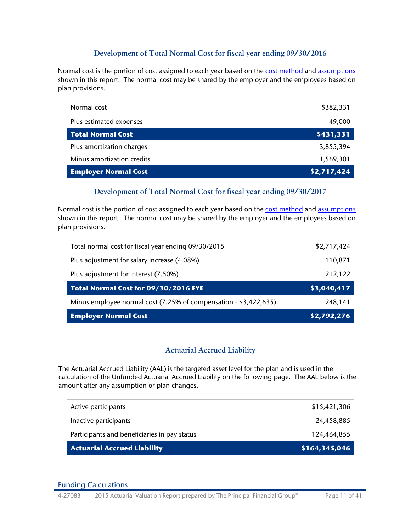# <span id="page-10-3"></span><span id="page-10-0"></span>**Development of Total Normal Cost for fiscal year ending 09/30/2016**

Normal cost is the portion of cost assigned to each year based on the [cost method](#page-26-0) an[d assumptions](#page-23-3) shown in this report. The normal cost may be shared by the employer and the employees based on plan provisions.

| Normal cost                 | \$382,331   |
|-----------------------------|-------------|
| Plus estimated expenses     | 49,000      |
| <b>Total Normal Cost</b>    | \$431,331   |
| Plus amortization charges   | 3,855,394   |
| Minus amortization credits  | 1,569,301   |
| <b>Employer Normal Cost</b> | \$2,717,424 |

# **Development of Total Normal Cost for fiscal year ending 09/30/2017**

Normal cost is the portion of cost assigned to each year based on the [cost method](#page-26-0) an[d assumptions](#page-23-3) shown in this report. The normal cost may be shared by the employer and the employees based on plan provisions.

| <b>Employer Normal Cost</b>                                      | \$2,792,276 |
|------------------------------------------------------------------|-------------|
| Minus employee normal cost (7.25% of compensation - \$3,422,635) | 248,141     |
| Total Normal Cost for 09/30/2016 FYE                             | \$3,040,417 |
| Plus adjustment for interest (7.50%)                             | 212,122     |
| Plus adjustment for salary increase (4.08%)                      | 110,871     |
| Total normal cost for fiscal year ending 09/30/2015              | \$2,717,424 |

# <span id="page-10-2"></span><span id="page-10-1"></span>**Actuarial Accrued Liability**

The Actuarial Accrued Liability (AAL) is the targeted asset level for the plan and is used in the calculation of the Unfunded Actuarial Accrued Liability on the following page. The AAL below is the amount after any assumption or plan changes.

| <b>Actuarial Accrued Liability</b>           | \$164,345,046 |
|----------------------------------------------|---------------|
| Participants and beneficiaries in pay status | 124,464,855   |
| Inactive participants                        | 24,458,885    |
| Active participants                          | \$15,421,306  |

## Funding Calculations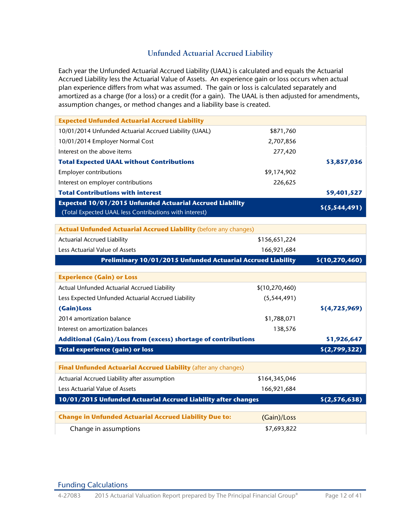# <span id="page-11-0"></span>**Unfunded Actuarial Accrued Liability**

Each year the Unfunded Actuarial Accrued Liability (UAAL) is calculated and equals the Actuarial Accrued Liability less the Actuarial Value of Assets. An experience gain or loss occurs when actual plan experience differs from what was assumed. The gain or loss is calculated separately and amortized as a charge (for a loss) or a credit (for a gain). The UAAL is then adjusted for amendments, assumption changes, or method changes and a liability base is created.

| <b>Expected Unfunded Actuarial Accrued Liability</b>                                                                      |                  |                  |
|---------------------------------------------------------------------------------------------------------------------------|------------------|------------------|
| 10/01/2014 Unfunded Actuarial Accrued Liability (UAAL)                                                                    | \$871,760        |                  |
| 10/01/2014 Employer Normal Cost                                                                                           | 2,707,856        |                  |
| Interest on the above items                                                                                               | 277,420          |                  |
| <b>Total Expected UAAL without Contributions</b>                                                                          |                  | \$3,857,036      |
| <b>Employer contributions</b>                                                                                             | \$9,174,902      |                  |
| Interest on employer contributions                                                                                        | 226,625          |                  |
| <b>Total Contributions with interest</b>                                                                                  |                  | \$9,401,527      |
| <b>Expected 10/01/2015 Unfunded Actuarial Accrued Liability</b><br>(Total Expected UAAL less Contributions with interest) |                  | \$(5,544,491)    |
|                                                                                                                           |                  |                  |
| <b>Actual Unfunded Actuarial Accrued Liability (before any changes)</b>                                                   |                  |                  |
| <b>Actuarial Accrued Liability</b>                                                                                        | \$156,651,224    |                  |
| Less Actuarial Value of Assets                                                                                            | 166,921,684      |                  |
| <b>Preliminary 10/01/2015 Unfunded Actuarial Accrued Liability</b>                                                        |                  | \$(10, 270, 460) |
| <b>Experience (Gain) or Loss</b>                                                                                          |                  |                  |
| Actual Unfunded Actuarial Accrued Liability                                                                               | \$(10, 270, 460) |                  |
| Less Expected Unfunded Actuarial Accrued Liability                                                                        | (5, 544, 491)    |                  |
| (Gain)Loss                                                                                                                |                  | \$(4,725,969)    |
| 2014 amortization balance                                                                                                 | \$1,788,071      |                  |
| Interest on amortization balances                                                                                         | 138,576          |                  |
| Additional (Gain)/Loss from (excess) shortage of contributions                                                            |                  | \$1,926,647      |
| <b>Total experience (gain) or loss</b>                                                                                    |                  | \$(2,799,322)    |
| Final Unfunded Actuarial Accrued Liability (after any changes)                                                            |                  |                  |
| Actuarial Accrued Liability after assumption                                                                              | \$164,345,046    |                  |
| Less Actuarial Value of Assets                                                                                            | 166,921,684      |                  |
| 10/01/2015 Unfunded Actuarial Accrued Liability after changes                                                             |                  | \$(2,576,638)    |
| <b>Change in Unfunded Actuarial Accrued Liability Due to:</b>                                                             | (Gain)/Loss      |                  |
| Change in assumptions                                                                                                     | \$7,693,822      |                  |

Funding Calculations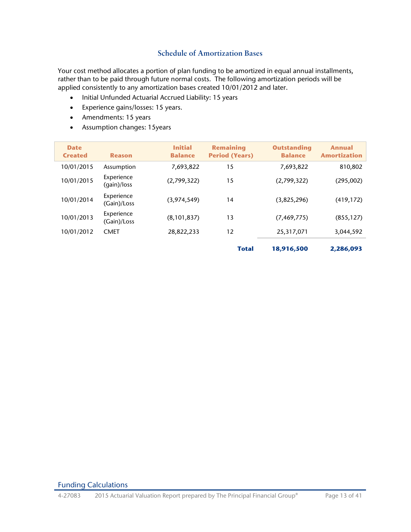# <span id="page-12-1"></span><span id="page-12-0"></span>**Schedule of Amortization Bases**

Your cost method allocates a portion of plan funding to be amortized in equal annual installments, rather than to be paid through future normal costs. The following amortization periods will be applied consistently to any amortization bases created 10/01/2012 and later.

- Initial Unfunded Actuarial Accrued Liability: 15 years
- Experience gains/losses: 15 years.
- Amendments: 15 years
- Assumption changes: 15years

| <b>Date</b><br><b>Created</b> | <b>Reason</b>             | <b>Initial</b><br><b>Balance</b> | <b>Remaining</b><br><b>Period (Years)</b> | <b>Outstanding</b><br><b>Balance</b> | <b>Annual</b><br><b>Amortization</b> |
|-------------------------------|---------------------------|----------------------------------|-------------------------------------------|--------------------------------------|--------------------------------------|
| 10/01/2015                    | Assumption                | 7,693,822                        | 15                                        | 7,693,822                            | 810,802                              |
| 10/01/2015                    | Experience<br>(gain)/loss | (2,799,322)                      | 15                                        | (2,799,322)                          | (295,002)                            |
| 10/01/2014                    | Experience<br>(Gain)/Loss | (3,974,549)                      | 14                                        | (3,825,296)                          | (419, 172)                           |
| 10/01/2013                    | Experience<br>(Gain)/Loss | (8, 101, 837)                    | 13                                        | (7, 469, 775)                        | (855, 127)                           |
| 10/01/2012                    | <b>CMET</b>               | 28,822,233                       | 12                                        | 25,317,071                           | 3,044,592                            |
|                               |                           |                                  | <b>Total</b>                              | 18,916,500                           | 2,286,093                            |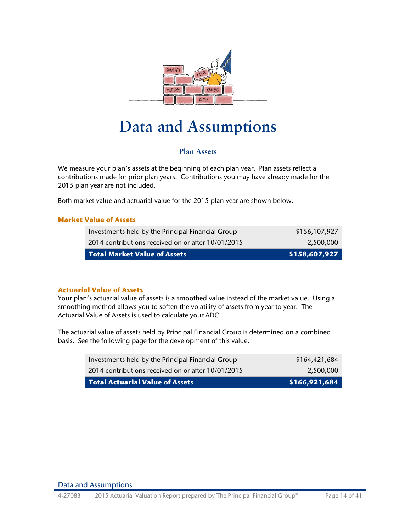

# **Data and Assumptions**

# <span id="page-13-1"></span><span id="page-13-0"></span>**Plan Assets**

We measure your plan's assets at the beginning of each plan year. Plan assets reflect all contributions made for prior plan years. Contributions you may have already made for the 2015 plan year are not included.

Both market value and actuarial value for the 2015 plan year are shown below.

## **Market Value of Assets**

| <b>Total Market Value of Assets</b>                | \$158,607,927 |
|----------------------------------------------------|---------------|
| 2014 contributions received on or after 10/01/2015 | 2.500.000     |
| Investments held by the Principal Financial Group  | \$156,107,927 |

## **Actuarial Value of Assets**

Your plan's actuarial value of assets is a smoothed value instead of the market value. Using a smoothing method allows you to soften the volatility of assets from year to year. The Actuarial Value of Assets is used to calculate your ADC.

The actuarial value of assets held by Principal Financial Group is determined on a combined basis. See the following page for the development of this value.

| Investments held by the Principal Financial Group  | \$164,421,684 |
|----------------------------------------------------|---------------|
| 2014 contributions received on or after 10/01/2015 | 2.500.000     |
| <b>Total Actuarial Value of Assets</b>             | \$166,921,684 |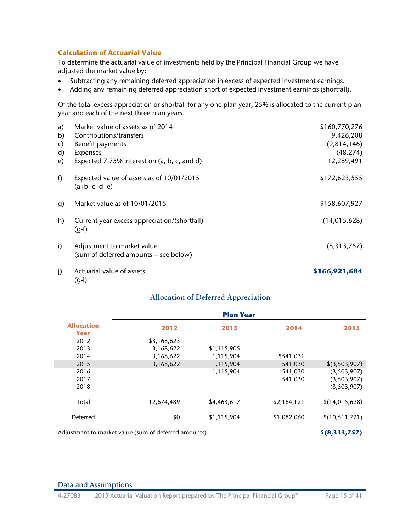## **Calculation of Actuarial Value**

To determine the actuarial value of investments held by the Principal Financial Group we have adjusted the market value by:

- Subtracting any remaining deferred appreciation in excess of expected investment earnings.
- Adding any remaining deferred appreciation short of expected investment earnings (shortfall).

Of the total excess appreciation or shortfall for any one plan year, 25% is allocated to the current plan year and each of the next three plan years.

| a)           | Market value of assets as of 2014                                   | \$160,770,276  |
|--------------|---------------------------------------------------------------------|----------------|
| b)           | Contributions/transfers                                             | 9,426,208      |
| c)           | Benefit payments                                                    | (9,814,146)    |
| d)           | Expenses                                                            | (48, 274)      |
| e)           | Expected 7.75% interest on (a, b, c, and d)                         | 12,289,491     |
| f)           | Expected value of assets as of 10/01/2015<br>$(a+b+c+d+e)$          | \$172,623,555  |
| q)           | Market value as of 10/01/2015                                       | \$158,607,927  |
| h)           | Current year excess appreciation/(shortfall)<br>$(g-f)$             | (14, 015, 628) |
| i)           | Adjustment to market value<br>(sum of deferred amounts – see below) | (8,313,757)    |
| $\mathsf{I}$ | Actuarial value of assets<br>$(g-i)$                                | \$166,921,684  |

# **Allocation of Deferred Appreciation**

|                           |                                                      | <b>Plan Year</b> |             |                 |
|---------------------------|------------------------------------------------------|------------------|-------------|-----------------|
| <b>Allocation</b><br>Year | 2012                                                 | 2013             | 2014        | 2015            |
| 2012                      | \$3,168,623                                          |                  |             |                 |
| 2013                      | 3,168,622                                            | \$1,115,905      |             |                 |
| 2014                      | 3,168,622                                            | 1,115,904        | \$541,031   |                 |
| 2015                      | 3,168,622                                            | 1,115,904        | 541,030     | \$(3,503,907)   |
| 2016                      |                                                      | 1,115,904        | 541,030     | (3,503,907)     |
| 2017                      |                                                      |                  | 541,030     | (3,503,907)     |
| 2018                      |                                                      |                  |             | (3,503,907)     |
| Total                     | 12,674,489                                           | \$4,463,617      | \$2,164,121 | \$(14,015,628)  |
| Deferred                  | \$0                                                  | \$1,115,904      | \$1,082,060 | \$(10,511,721)  |
|                           | Adjustment to market value (sum of deferred amounts) |                  |             | $$$ (8,313,757) |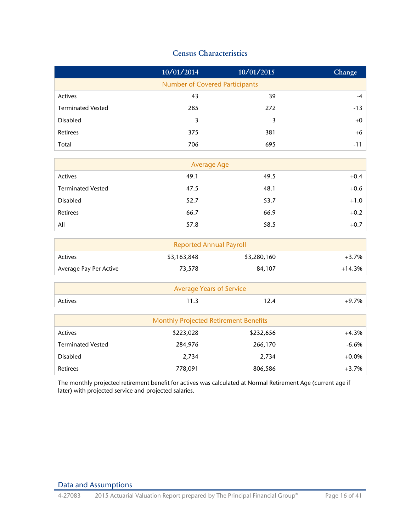# <span id="page-15-0"></span>**Census Characteristics**

<span id="page-15-1"></span>

|                          | 10/01/2014                                   | 10/01/2015  | Change   |
|--------------------------|----------------------------------------------|-------------|----------|
|                          | <b>Number of Covered Participants</b>        |             |          |
| Actives                  | 43                                           | 39          | $-4$     |
| <b>Terminated Vested</b> | 285                                          | 272         | $-13$    |
| Disabled                 | 3                                            | 3           | $+0$     |
| Retirees                 | 375                                          | 381         | $+6$     |
| Total                    | 706                                          | 695         | $-11$    |
|                          | <b>Average Age</b>                           |             |          |
| Actives                  | 49.1                                         | 49.5        | $+0.4$   |
| <b>Terminated Vested</b> | 47.5                                         | 48.1        | $+0.6$   |
|                          |                                              |             |          |
| <b>Disabled</b>          | 52.7                                         | 53.7        | $+1.0$   |
| Retirees                 | 66.7                                         | 66.9        | $+0.2$   |
| All                      | 57.8                                         | 58.5        | $+0.7$   |
|                          | <b>Reported Annual Payroll</b>               |             |          |
| Actives                  | \$3,163,848                                  | \$3,280,160 | $+3.7%$  |
| Average Pay Per Active   | 73,578                                       | 84,107      | $+14.3%$ |
|                          | <b>Average Years of Service</b>              |             |          |
| Actives                  | 11.3                                         | 12.4        | $+9.7%$  |
|                          |                                              |             |          |
|                          | <b>Monthly Projected Retirement Benefits</b> |             |          |
| Actives                  | \$223,028                                    | \$232,656   | $+4.3%$  |
| <b>Terminated Vested</b> | 284,976                                      | 266,170     | $-6.6%$  |
| <b>Disabled</b>          | 2,734                                        | 2,734       | $+0.0%$  |
| Retirees                 | 778,091                                      | 806,586     | $+3.7%$  |

The monthly projected retirement benefit for actives was calculated at Normal Retirement Age (current age if later) with projected service and projected salaries.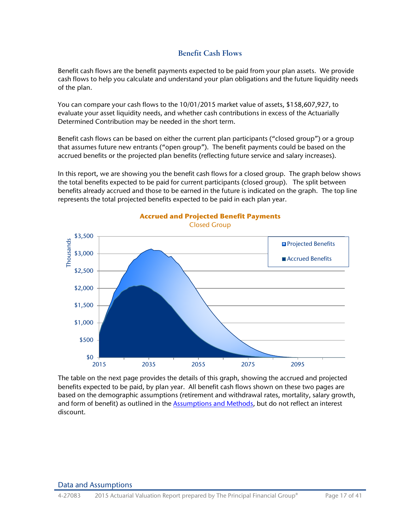# <span id="page-16-0"></span>**Benefit Cash Flows**

<span id="page-16-1"></span>Benefit cash flows are the benefit payments expected to be paid from your plan assets. We provide cash flows to help you calculate and understand your plan obligations and the future liquidity needs of the plan.

You can compare your cash flows to the 10/01/2015 market value of assets, \$158,607,927, to evaluate your asset liquidity needs, and whether cash contributions in excess of the Actuarially Determined Contribution may be needed in the short term.

Benefit cash flows can be based on either the current plan participants ("closed group") or a group that assumes future new entrants ("open group"). The benefit payments could be based on the accrued benefits or the projected plan benefits (reflecting future service and salary increases).

In this report, we are showing you the benefit cash flows for a closed group. The graph below shows the total benefits expected to be paid for current participants (closed group). The split between benefits already accrued and those to be earned in the future is indicated on the graph. The top line represents the total projected benefits expected to be paid in each plan year.



**Accrued and Projected Benefit Payments** 

The table on the next page provides the details of this graph, showing the accrued and projected benefits expected to be paid, by plan year. All benefit cash flows shown on these two pages are based on the demographic assumptions (retirement and withdrawal rates, mortality, salary growth, and form of benefit) as outlined in the [Assumptions and Methods,](#page-23-3) but do not reflect an interest discount.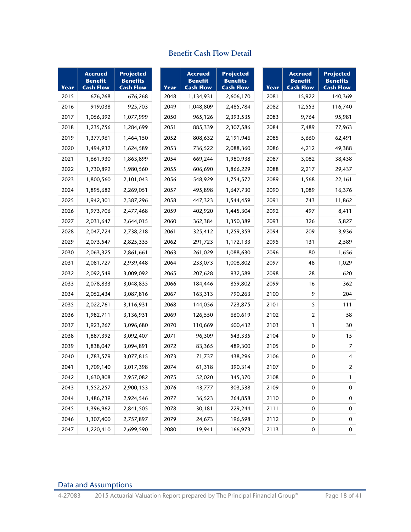| Year | Accrued<br>Benefit<br><b>Cash Flow</b> | Projected<br>Benefits<br><b>Cash Flow</b> | Year |
|------|----------------------------------------|-------------------------------------------|------|
| 2015 | 676,268                                | 676,268                                   | 2048 |
| 2016 | 919,038                                | 925,703                                   | 2049 |
| 2017 | 1,056,392                              | 1,077,999                                 | 2050 |
| 2018 | 1,235,756                              | 1,284,699                                 | 2051 |
| 2019 | 1,377,961                              | 1,464,150                                 | 2052 |
| 2020 | 1,494,932                              | 1,624,589                                 | 2053 |
| 2021 | 1,661,930                              | 1,863,899                                 | 2054 |
| 2022 | 1,730,892                              | 1,980,560                                 | 2055 |
| 2023 | 1,800,560                              | 2,101,043                                 | 2056 |
| 2024 | 1,895,682                              | 2,269,051                                 | 2057 |
| 2025 | 1,942,301                              | 2,387,296                                 | 2058 |
| 2026 | 1,973,706                              | 2,477,468                                 | 2059 |
| 2027 | 2,031,647                              | 2,644,015                                 | 2060 |
| 2028 | 2,047,724                              | 2,738,218                                 | 2061 |
| 2029 | 2,073,547                              | 2,825,335                                 | 2062 |
| 2030 | 2,063,325                              | 2,861,661                                 | 2063 |
| 2031 | 2,081,727                              | 2,939,448                                 | 2064 |
| 2032 | 2,092,549                              | 3,009,092                                 | 2065 |
| 2033 | 2,078,833                              | 3,048,835                                 | 2066 |
| 2034 | 2,052,434                              | 3,087,816                                 | 2067 |
| 2035 | 2,022,761                              | 3,116,931                                 | 2068 |
| 2036 | 1,982,711                              | 3,136,931                                 | 2069 |
| 2037 | 1,923,267                              | 3,096,680                                 | 2070 |
| 2038 | 1,887,392                              | 3,092,407                                 | 2071 |
| 2039 | 1,838,047                              | 3,094,891                                 | 2072 |
| 2040 | 1,783,579                              | 3,077,815                                 | 2073 |
| 2041 | 1,709,140                              | 3,017,398                                 | 2074 |
| 2042 | 1,630,808                              | 2,957,082                                 | 2075 |
| 2043 | 1,552,257                              | 2,900,153                                 | 2076 |
| 2044 | 1,486,739                              | 2,924,546                                 | 2077 |
| 2045 | 1,396,962                              | 2,841,505                                 | 2078 |
| 2046 | 1,307,400                              | 2,757,897                                 | 2079 |
| 2047 | 1,220,410                              | 2,699,590                                 | 2080 |

# **Benefit Cash Flow Detail**

**Projected**

| Year | <b>Benefit</b><br><b>Cash Flow</b> | <b>Benefits</b><br><b>Cash Flow</b> | Year | <b>Benefit</b><br><b>Cash Flow</b> | <b>Projected</b><br><b>Benefits</b><br><b>Cash Flow</b> | Year | <b>Benefit</b><br><b>Cash Flow</b> | <b>Projected</b><br><b>Benefits</b><br><b>Cash Flow</b> |
|------|------------------------------------|-------------------------------------|------|------------------------------------|---------------------------------------------------------|------|------------------------------------|---------------------------------------------------------|
| 2015 | 676,268                            | 676,268                             | 2048 | 1,134,931                          | 2,606,170                                               | 2081 | 15,922                             | 140,369                                                 |
| 2016 | 919,038                            | 925,703                             | 2049 | 1,048,809                          | 2,485,784                                               | 2082 | 12,553                             | 116,740                                                 |
| 2017 | 1,056,392                          | 1,077,999                           | 2050 | 965,126                            | 2,393,535                                               | 2083 | 9,764                              | 95,981                                                  |
| 2018 | 1,235,756                          | 1,284,699                           | 2051 | 885,339                            | 2,307,586                                               | 2084 | 7,489                              | 77,963                                                  |
| 2019 | 1,377,961                          | 1,464,150                           | 2052 | 808,632                            | 2,191,946                                               | 2085 | 5,660                              | 62,491                                                  |
| 2020 | 1,494,932                          | 1,624,589                           | 2053 | 736,522                            | 2,088,360                                               | 2086 | 4,212                              | 49,388                                                  |
| 2021 | 1,661,930                          | 1,863,899                           | 2054 | 669,244                            | 1,980,938                                               | 2087 | 3,082                              | 38,438                                                  |
| 2022 | 1,730,892                          | 1,980,560                           | 2055 | 606,690                            | 1,866,229                                               | 2088 | 2,217                              | 29,437                                                  |
| 2023 | 1,800,560                          | 2,101,043                           | 2056 | 548,929                            | 1,754,572                                               | 2089 | 1,568                              | 22,161                                                  |
| 2024 | 1,895,682                          | 2,269,051                           | 2057 | 495,898                            | 1,647,730                                               | 2090 | 1,089                              | 16,376                                                  |
| 2025 | 1,942,301                          | 2,387,296                           | 2058 | 447,323                            | 1,544,459                                               | 2091 | 743                                | 11,862                                                  |
| 2026 | 1,973,706                          | 2,477,468                           | 2059 | 402,920                            | 1,445,304                                               | 2092 | 497                                | 8,411                                                   |
| 2027 | 2,031,647                          | 2,644,015                           | 2060 | 362,384                            | 1,350,389                                               | 2093 | 326                                | 5,827                                                   |
| 2028 | 2,047,724                          | 2,738,218                           | 2061 | 325,412                            | 1,259,359                                               | 2094 | 209                                | 3,936                                                   |
| 2029 | 2,073,547                          | 2,825,335                           | 2062 | 291,723                            | 1,172,133                                               | 2095 | 131                                | 2,589                                                   |
| 2030 | 2,063,325                          | 2,861,661                           | 2063 | 261,029                            | 1,088,630                                               | 2096 | 80                                 | 1,656                                                   |
| 2031 | 2,081,727                          | 2,939,448                           | 2064 | 233,073                            | 1,008,802                                               | 2097 | 48                                 | 1,029                                                   |
| 2032 | 2,092,549                          | 3,009,092                           | 2065 | 207,628                            | 932,589                                                 | 2098 | 28                                 | 620                                                     |
| 2033 | 2,078,833                          | 3,048,835                           | 2066 | 184,446                            | 859,802                                                 | 2099 | 16                                 | 362                                                     |
| 2034 | 2,052,434                          | 3,087,816                           | 2067 | 163,313                            | 790,263                                                 | 2100 | 9                                  | 204                                                     |
| 2035 | 2,022,761                          | 3,116,931                           | 2068 | 144,056                            | 723,875                                                 | 2101 | 5                                  | 111                                                     |
| 2036 | 1,982,711                          | 3,136,931                           | 2069 | 126,550                            | 660,619                                                 | 2102 | 2                                  | 58                                                      |
| 2037 | 1,923,267                          | 3,096,680                           | 2070 | 110,669                            | 600,432                                                 | 2103 | $\mathbf{1}$                       | 30                                                      |
| 2038 | 1,887,392                          | 3,092,407                           | 2071 | 96,309                             | 543,335                                                 | 2104 | 0                                  | 15                                                      |
| 2039 | 1,838,047                          | 3,094,891                           | 2072 | 83,365                             | 489,300                                                 | 2105 | 0                                  | 7                                                       |
| 2040 | 1,783,579                          | 3,077,815                           | 2073 | 71,737                             | 438,296                                                 | 2106 | 0                                  | 4                                                       |
| 2041 | 1,709,140                          | 3,017,398                           | 2074 | 61,318                             | 390,314                                                 | 2107 | 0                                  | $\overline{\mathbf{c}}$                                 |
| 2042 | 1,630,808                          | 2,957,082                           | 2075 | 52,020                             | 345,370                                                 | 2108 | 0                                  | 1                                                       |
| 2043 | 1,552,257                          | 2,900,153                           | 2076 | 43,777                             | 303,538                                                 | 2109 | 0                                  | 0                                                       |
| 2044 | 1,486,739                          | 2,924,546                           | 2077 | 36,523                             | 264,858                                                 | 2110 | 0                                  | 0                                                       |
| 2045 | 1,396,962                          | 2,841,505                           | 2078 | 30,181                             | 229,244                                                 | 2111 | 0                                  | 0                                                       |
| 2046 | 1,307,400                          | 2,757,897                           | 2079 | 24,673                             | 196,598                                                 | 2112 | 0                                  | 0                                                       |
| 2047 | 1,220,410                          | 2,699,590                           | 2080 | 19,941                             | 166,973                                                 | 2113 | 0                                  | 0                                                       |

| Year | Accrued<br>Benefit<br><b>Cash Flow</b> | Projected<br><b>Benefits</b><br><b>Cash Flow</b> |
|------|----------------------------------------|--------------------------------------------------|
| 2081 | 15,922                                 | 140,369                                          |
| 2082 | 12,553                                 | 116,740                                          |
| 2083 | 9,764                                  | 95,981                                           |
| 2084 | 7,489                                  | 77,963                                           |
| 2085 | 5,660                                  | 62,491                                           |
| 2086 | 4,212                                  | 49,388                                           |
| 2087 | 3,082                                  | 38,438                                           |
| 2088 | 2,217                                  | 29,437                                           |
| 2089 | 1,568                                  | 22,161                                           |
| 2090 | 1,089                                  | 16,376                                           |
| 2091 | 743                                    | 11,862                                           |
| 2092 | 497                                    | 8,411                                            |
| 2093 | 326                                    | 5,827                                            |
| 2094 | 209                                    | 3,936                                            |
| 2095 | 131                                    | 2,589                                            |
| 2096 | 80                                     | 1,656                                            |
| 2097 | 48                                     | 1,029                                            |
| 2098 | 28                                     | 620                                              |
| 2099 | 16                                     | 362                                              |
| 2100 | 9                                      | 204                                              |
| 2101 | 5                                      | 111                                              |
| 2102 | 2                                      | 58                                               |
| 2103 | 1                                      | 30                                               |
| 2104 | 0                                      | 15                                               |
| 2105 | 0                                      | 7                                                |
| 2106 | 0                                      | 4                                                |
| 2107 | 0                                      | 2                                                |
| 2108 | 0                                      | 1                                                |
| 2109 | 0                                      | 0                                                |
| 2110 | 0                                      | 0                                                |
| 2111 | 0                                      | 0                                                |
| 2112 | 0                                      | 0                                                |
| 2113 | 0                                      | 0                                                |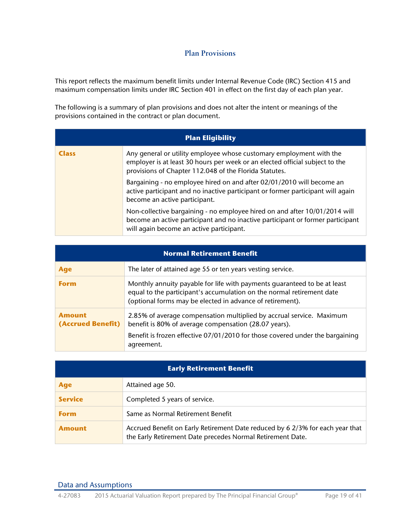# <span id="page-18-1"></span><span id="page-18-0"></span>**Plan Provisions**

This report reflects the maximum benefit limits under Internal Revenue Code (IRC) Section 415 and maximum compensation limits under IRC Section 401 in effect on the first day of each plan year.

The following is a summary of plan provisions and does not alter the intent or meanings of the provisions contained in the contract or plan document.

|              | <b>Plan Eligibility</b>                                                                                                                                                                                       |
|--------------|---------------------------------------------------------------------------------------------------------------------------------------------------------------------------------------------------------------|
| <b>Class</b> | Any general or utility employee whose customary employment with the<br>employer is at least 30 hours per week or an elected official subject to the<br>provisions of Chapter 112.048 of the Florida Statutes. |
|              | Bargaining - no employee hired on and after 02/01/2010 will become an<br>active participant and no inactive participant or former participant will again<br>become an active participant.                     |
|              | Non-collective bargaining - no employee hired on and after 10/01/2014 will<br>become an active participant and no inactive participant or former participant<br>will again become an active participant.      |

|                                    | <b>Normal Retirement Benefit</b>                                                                                                                                                                               |
|------------------------------------|----------------------------------------------------------------------------------------------------------------------------------------------------------------------------------------------------------------|
| <b>Age</b>                         | The later of attained age 55 or ten years vesting service.                                                                                                                                                     |
| <b>Form</b>                        | Monthly annuity payable for life with payments quaranteed to be at least<br>equal to the participant's accumulation on the normal retirement date<br>(optional forms may be elected in advance of retirement). |
| <b>Amount</b><br>(Accrued Benefit) | 2.85% of average compensation multiplied by accrual service. Maximum<br>benefit is 80% of average compensation (28.07 years).                                                                                  |
|                                    | Benefit is frozen effective 07/01/2010 for those covered under the bargaining<br>agreement.                                                                                                                    |

| <b>Early Retirement Benefit</b> |                                                                                                                                             |  |  |
|---------------------------------|---------------------------------------------------------------------------------------------------------------------------------------------|--|--|
| <b>Age</b>                      | Attained age 50.                                                                                                                            |  |  |
| <b>Service</b>                  | Completed 5 years of service.                                                                                                               |  |  |
| <b>Form</b>                     | Same as Normal Retirement Benefit                                                                                                           |  |  |
| Amount                          | Accrued Benefit on Early Retirement Date reduced by 6 2/3% for each year that<br>the Early Retirement Date precedes Normal Retirement Date. |  |  |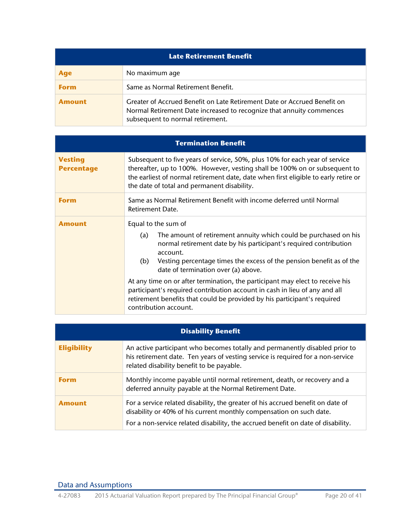| <b>Late Retirement Benefit</b> |                                                                                                                                                                                      |  |  |
|--------------------------------|--------------------------------------------------------------------------------------------------------------------------------------------------------------------------------------|--|--|
| <b>Age</b>                     | No maximum age                                                                                                                                                                       |  |  |
| <b>Form</b>                    | Same as Normal Retirement Benefit.                                                                                                                                                   |  |  |
| Amount                         | Greater of Accrued Benefit on Late Retirement Date or Accrued Benefit on<br>Normal Retirement Date increased to recognize that annuity commences<br>subsequent to normal retirement. |  |  |

|                                     | <b>Termination Benefit</b>                                                                                                                                                                                                                                                                                                                                                                                                                                                                                                                                                |  |  |
|-------------------------------------|---------------------------------------------------------------------------------------------------------------------------------------------------------------------------------------------------------------------------------------------------------------------------------------------------------------------------------------------------------------------------------------------------------------------------------------------------------------------------------------------------------------------------------------------------------------------------|--|--|
| <b>Vesting</b><br><b>Percentage</b> | Subsequent to five years of service, 50%, plus 10% for each year of service<br>thereafter, up to 100%. However, vesting shall be 100% on or subsequent to<br>the earliest of normal retirement date, date when first eligible to early retire or<br>the date of total and permanent disability.                                                                                                                                                                                                                                                                           |  |  |
| Form                                | Same as Normal Retirement Benefit with income deferred until Normal<br>Retirement Date.                                                                                                                                                                                                                                                                                                                                                                                                                                                                                   |  |  |
| <b>Amount</b>                       | Equal to the sum of<br>The amount of retirement annuity which could be purchased on his<br>(a)<br>normal retirement date by his participant's required contribution<br>account.<br>Vesting percentage times the excess of the pension benefit as of the<br>(b)<br>date of termination over (a) above.<br>At any time on or after termination, the participant may elect to receive his<br>participant's required contribution account in cash in lieu of any and all<br>retirement benefits that could be provided by his participant's required<br>contribution account. |  |  |

|                    | <b>Disability Benefit</b>                                                                                                                                                                                                                  |
|--------------------|--------------------------------------------------------------------------------------------------------------------------------------------------------------------------------------------------------------------------------------------|
| <b>Eligibility</b> | An active participant who becomes totally and permanently disabled prior to<br>his retirement date. Ten years of vesting service is required for a non-service<br>related disability benefit to be payable.                                |
| <b>Form</b>        | Monthly income payable until normal retirement, death, or recovery and a<br>deferred annuity payable at the Normal Retirement Date.                                                                                                        |
| <b>Amount</b>      | For a service related disability, the greater of his accrued benefit on date of<br>disability or 40% of his current monthly compensation on such date.<br>For a non-service related disability, the accrued benefit on date of disability. |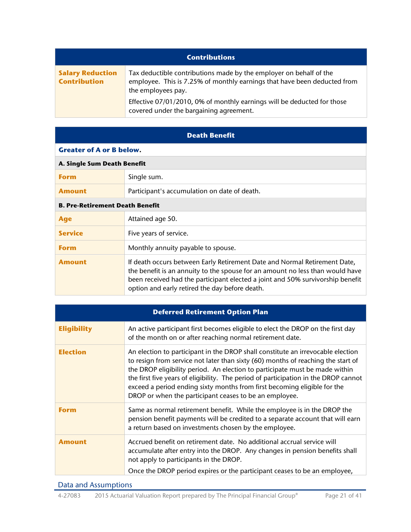| <b>Contributions</b>                           |                                                                                                                                                                      |  |  |
|------------------------------------------------|----------------------------------------------------------------------------------------------------------------------------------------------------------------------|--|--|
| <b>Salary Reduction</b><br><b>Contribution</b> | Tax deductible contributions made by the employer on behalf of the<br>employee. This is 7.25% of monthly earnings that have been deducted from<br>the employees pay. |  |  |
|                                                | Effective 07/01/2010, 0% of monthly earnings will be deducted for those<br>covered under the bargaining agreement.                                                   |  |  |

|                                 | <b>Death Benefit</b> |  |
|---------------------------------|----------------------|--|
| <b>Greater of A or B below.</b> |                      |  |
| A. Single Sum Death Benefit     |                      |  |
|                                 |                      |  |

| <b>Form</b>                            | Single sum.                                                                                                                                                                                                                                                                                    |  |  |
|----------------------------------------|------------------------------------------------------------------------------------------------------------------------------------------------------------------------------------------------------------------------------------------------------------------------------------------------|--|--|
| <b>Amount</b>                          | Participant's accumulation on date of death.                                                                                                                                                                                                                                                   |  |  |
| <b>B. Pre-Retirement Death Benefit</b> |                                                                                                                                                                                                                                                                                                |  |  |
| <b>Age</b>                             | Attained age 50.                                                                                                                                                                                                                                                                               |  |  |
| <b>Service</b>                         | Five years of service.                                                                                                                                                                                                                                                                         |  |  |
| <b>Form</b>                            | Monthly annuity payable to spouse.                                                                                                                                                                                                                                                             |  |  |
| <b>Amount</b>                          | If death occurs between Early Retirement Date and Normal Retirement Date,<br>the benefit is an annuity to the spouse for an amount no less than would have<br>been received had the participant elected a joint and 50% survivorship benefit<br>option and early retired the day before death. |  |  |

|                    | <b>Deferred Retirement Option Plan</b>                                                                                                                                                                                                                                                                                                                                                                                                                                          |  |  |
|--------------------|---------------------------------------------------------------------------------------------------------------------------------------------------------------------------------------------------------------------------------------------------------------------------------------------------------------------------------------------------------------------------------------------------------------------------------------------------------------------------------|--|--|
| <b>Eligibility</b> | An active participant first becomes eligible to elect the DROP on the first day<br>of the month on or after reaching normal retirement date.                                                                                                                                                                                                                                                                                                                                    |  |  |
| <b>Election</b>    | An election to participant in the DROP shall constitute an irrevocable election<br>to resign from service not later than sixty (60) months of reaching the start of<br>the DROP eligibility period. An election to participate must be made within<br>the first five years of eligibility. The period of participation in the DROP cannot<br>exceed a period ending sixty months from first becoming eligible for the<br>DROP or when the participant ceases to be an employee. |  |  |
| <b>Form</b>        | Same as normal retirement benefit. While the employee is in the DROP the<br>pension benefit payments will be credited to a separate account that will earn<br>a return based on investments chosen by the employee.                                                                                                                                                                                                                                                             |  |  |
| <b>Amount</b>      | Accrued benefit on retirement date. No additional accrual service will<br>accumulate after entry into the DROP. Any changes in pension benefits shall<br>not apply to participants in the DROP.                                                                                                                                                                                                                                                                                 |  |  |
|                    | Once the DROP period expires or the participant ceases to be an employee,                                                                                                                                                                                                                                                                                                                                                                                                       |  |  |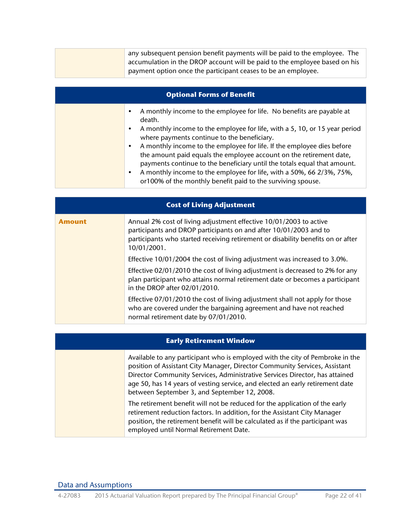|  | any subsequent pension benefit payments will be paid to the employee. The  |
|--|----------------------------------------------------------------------------|
|  | accumulation in the DROP account will be paid to the employee based on his |
|  | payment option once the participant ceases to be an employee.              |

| <b>Optional Forms of Benefit</b>                                                                                                                                                                                                       |
|----------------------------------------------------------------------------------------------------------------------------------------------------------------------------------------------------------------------------------------|
| A monthly income to the employee for life. No benefits are payable at<br>٠<br>death.                                                                                                                                                   |
| A monthly income to the employee for life, with a 5, 10, or 15 year period<br>where payments continue to the beneficiary.                                                                                                              |
| A monthly income to the employee for life. If the employee dies before<br>$\bullet$<br>the amount paid equals the employee account on the retirement date,<br>payments continue to the beneficiary until the totals equal that amount. |
| A monthly income to the employee for life, with a 50%, 66 2/3%, 75%,<br>$\bullet$<br>or100% of the monthly benefit paid to the surviving spouse.                                                                                       |

|               | <b>Cost of Living Adjustment</b>                                                                                                                                                                                                           |  |  |
|---------------|--------------------------------------------------------------------------------------------------------------------------------------------------------------------------------------------------------------------------------------------|--|--|
| <b>Amount</b> | Annual 2% cost of living adjustment effective 10/01/2003 to active<br>participants and DROP participants on and after 10/01/2003 and to<br>participants who started receiving retirement or disability benefits on or after<br>10/01/2001. |  |  |
|               | Effective 10/01/2004 the cost of living adjustment was increased to 3.0%.                                                                                                                                                                  |  |  |
|               | Effective 02/01/2010 the cost of living adjustment is decreased to 2% for any<br>plan participant who attains normal retirement date or becomes a participant<br>in the DROP after 02/01/2010.                                             |  |  |
|               | Effective 07/01/2010 the cost of living adjustment shall not apply for those<br>who are covered under the bargaining agreement and have not reached<br>normal retirement date by 07/01/2010.                                               |  |  |

| <b>Early Retirement Window</b> |                                                                                                                                                                                                                                                                                                                                                                             |  |  |
|--------------------------------|-----------------------------------------------------------------------------------------------------------------------------------------------------------------------------------------------------------------------------------------------------------------------------------------------------------------------------------------------------------------------------|--|--|
|                                | Available to any participant who is employed with the city of Pembroke in the<br>position of Assistant City Manager, Director Community Services, Assistant<br>Director Community Services, Administrative Services Director, has attained<br>age 50, has 14 years of vesting service, and elected an early retirement date<br>between September 3, and September 12, 2008. |  |  |
|                                | The retirement benefit will not be reduced for the application of the early<br>retirement reduction factors. In addition, for the Assistant City Manager<br>position, the retirement benefit will be calculated as if the participant was<br>employed until Normal Retirement Date.                                                                                         |  |  |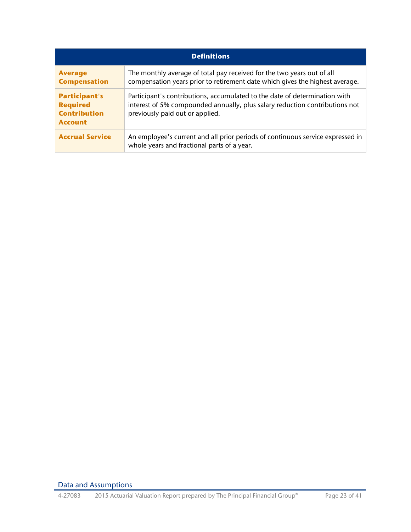| <b>Definitions</b>                                                               |                                                                                                                                                                                              |  |
|----------------------------------------------------------------------------------|----------------------------------------------------------------------------------------------------------------------------------------------------------------------------------------------|--|
| <b>Average</b><br><b>Compensation</b>                                            | The monthly average of total pay received for the two years out of all<br>compensation years prior to retirement date which gives the highest average.                                       |  |
| <b>Participant's</b><br><b>Required</b><br><b>Contribution</b><br><b>Account</b> | Participant's contributions, accumulated to the date of determination with<br>interest of 5% compounded annually, plus salary reduction contributions not<br>previously paid out or applied. |  |
| <b>Accrual Service</b>                                                           | An employee's current and all prior periods of continuous service expressed in<br>whole years and fractional parts of a year.                                                                |  |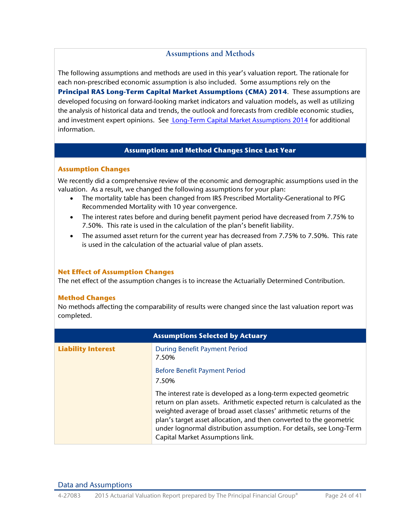## <span id="page-23-0"></span>**Assumptions and Methods**

<span id="page-23-3"></span>The following assumptions and methods are used in this year's valuation report. The rationale for each non-prescribed economic assumption is also included. Some assumptions rely on the **Principal RAS Long-Term Capital Market Assumptions (CMA) 2014**. These assumptions are developed focusing on forward-looking market indicators and valuation models, as well as utilizing the analysis of historical data and trends, the outlook and forecasts from credible economic studies, and investment expert opinions. See [Long-Term Capital Market Assumptions 2014](https://secure02.principal.com/publicvsupply/GetFile?fm=PQ10935-1&ty=VOP&EXT=.VOP) for additional information.

## **Assumptions and Method Changes Since Last Year**

### <span id="page-23-1"></span>**Assumption Changes**

We recently did a comprehensive review of the economic and demographic assumptions used in the valuation. As a result, we changed the following assumptions for your plan:

- The mortality table has been changed from IRS Prescribed Mortality-Generational to PFG Recommended Mortality with 10 year convergence.
- The interest rates before and during benefit payment period have decreased from 7.75% to 7.50%. This rate is used in the calculation of the plan's benefit liability.
- The assumed asset return for the current year has decreased from 7.75% to 7.50%. This rate is used in the calculation of the actuarial value of plan assets.

## **Net Effect of Assumption Changes**

The net effect of the assumption changes is to increase the Actuarially Determined Contribution.

## **Method Changes**

No methods affecting the comparability of results were changed since the last valuation report was completed.

<span id="page-23-2"></span>

|                           | <b>Assumptions Selected by Actuary</b>                                                                                                                                                                                                                                                                                                                                                             |
|---------------------------|----------------------------------------------------------------------------------------------------------------------------------------------------------------------------------------------------------------------------------------------------------------------------------------------------------------------------------------------------------------------------------------------------|
| <b>Liability Interest</b> | <b>During Benefit Payment Period</b><br>7.50%                                                                                                                                                                                                                                                                                                                                                      |
|                           | <b>Before Benefit Payment Period</b><br>7.50%                                                                                                                                                                                                                                                                                                                                                      |
|                           | The interest rate is developed as a long-term expected geometric<br>return on plan assets. Arithmetic expected return is calculated as the<br>weighted average of broad asset classes' arithmetic returns of the<br>plan's target asset allocation, and then converted to the geometric<br>under lognormal distribution assumption. For details, see Long-Term<br>Capital Market Assumptions link. |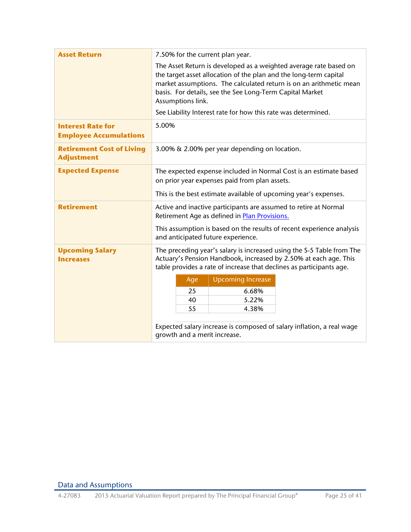<span id="page-24-0"></span>

| <b>Asset Return</b>                                       | 7.50% for the current plan year.                                                                                                                                                                                                                                                              |  |  |  |
|-----------------------------------------------------------|-----------------------------------------------------------------------------------------------------------------------------------------------------------------------------------------------------------------------------------------------------------------------------------------------|--|--|--|
|                                                           | The Asset Return is developed as a weighted average rate based on<br>the target asset allocation of the plan and the long-term capital<br>market assumptions. The calculated return is on an arithmetic mean<br>basis. For details, see the See Long-Term Capital Market<br>Assumptions link. |  |  |  |
|                                                           | See Liability Interest rate for how this rate was determined.                                                                                                                                                                                                                                 |  |  |  |
| <b>Interest Rate for</b><br><b>Employee Accumulations</b> | 5.00%                                                                                                                                                                                                                                                                                         |  |  |  |
| <b>Retirement Cost of Living</b><br><b>Adjustment</b>     | 3.00% & 2.00% per year depending on location.                                                                                                                                                                                                                                                 |  |  |  |
| <b>Expected Expense</b>                                   | The expected expense included in Normal Cost is an estimate based<br>on prior year expenses paid from plan assets.                                                                                                                                                                            |  |  |  |
|                                                           | This is the best estimate available of upcoming year's expenses.                                                                                                                                                                                                                              |  |  |  |
| <b>Retirement</b>                                         | Active and inactive participants are assumed to retire at Normal<br>Retirement Age as defined in Plan Provisions.                                                                                                                                                                             |  |  |  |
|                                                           | This assumption is based on the results of recent experience analysis<br>and anticipated future experience.                                                                                                                                                                                   |  |  |  |
| <b>Upcoming Salary</b><br><b>Increases</b>                | The preceding year's salary is increased using the S-5 Table from The<br>Actuary's Pension Handbook, increased by 2.50% at each age. This<br>table provides a rate of increase that declines as participants age.                                                                             |  |  |  |
|                                                           | <b>Upcoming Increase</b><br>Age                                                                                                                                                                                                                                                               |  |  |  |
|                                                           | 25<br>6.68%                                                                                                                                                                                                                                                                                   |  |  |  |
|                                                           | 5.22%<br>40                                                                                                                                                                                                                                                                                   |  |  |  |
|                                                           | 55<br>4.38%                                                                                                                                                                                                                                                                                   |  |  |  |
|                                                           | Expected salary increase is composed of salary inflation, a real wage<br>growth and a merit increase.                                                                                                                                                                                         |  |  |  |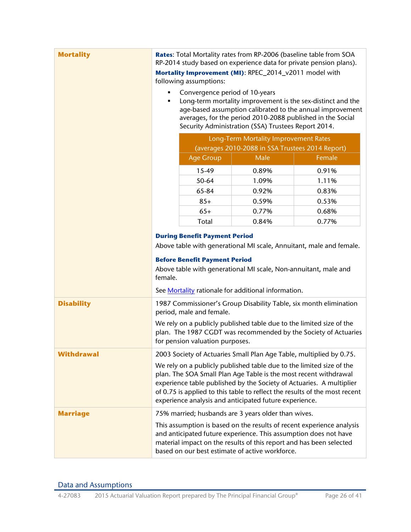| <b>Mortality</b>  | Rates: Total Mortality rates from RP-2006 (baseline table from SOA<br>RP-2014 study based on experience data for private pension plans).                                                                                                                                                                                                                                          |                                      |                                                                                                                                                                                                    |                                                                                                                                                    |
|-------------------|-----------------------------------------------------------------------------------------------------------------------------------------------------------------------------------------------------------------------------------------------------------------------------------------------------------------------------------------------------------------------------------|--------------------------------------|----------------------------------------------------------------------------------------------------------------------------------------------------------------------------------------------------|----------------------------------------------------------------------------------------------------------------------------------------------------|
|                   | Mortality Improvement (MI): RPEC_2014_v2011 model with<br>following assumptions:                                                                                                                                                                                                                                                                                                  |                                      |                                                                                                                                                                                                    |                                                                                                                                                    |
|                   | Convergence period of 10-years<br>Long-term mortality improvement is the sex-distinct and the<br>٠<br>age-based assumption calibrated to the annual improvement<br>averages, for the period 2010-2088 published in the Social<br>Security Administration (SSA) Trustees Report 2014.<br>Long-Term Mortality Improvement Rates<br>(averages 2010-2088 in SSA Trustees 2014 Report) |                                      |                                                                                                                                                                                                    |                                                                                                                                                    |
|                   |                                                                                                                                                                                                                                                                                                                                                                                   |                                      |                                                                                                                                                                                                    |                                                                                                                                                    |
|                   |                                                                                                                                                                                                                                                                                                                                                                                   | <b>Age Group</b>                     | Male                                                                                                                                                                                               | Female                                                                                                                                             |
|                   |                                                                                                                                                                                                                                                                                                                                                                                   | 15-49                                | 0.89%                                                                                                                                                                                              | 0.91%                                                                                                                                              |
|                   |                                                                                                                                                                                                                                                                                                                                                                                   | 50-64                                | 1.09%                                                                                                                                                                                              | 1.11%                                                                                                                                              |
|                   |                                                                                                                                                                                                                                                                                                                                                                                   | 65-84                                | 0.92%                                                                                                                                                                                              | 0.83%                                                                                                                                              |
|                   |                                                                                                                                                                                                                                                                                                                                                                                   | $85+$                                | 0.59%                                                                                                                                                                                              | 0.53%                                                                                                                                              |
|                   |                                                                                                                                                                                                                                                                                                                                                                                   | $65+$                                | 0.77%                                                                                                                                                                                              | 0.68%                                                                                                                                              |
|                   |                                                                                                                                                                                                                                                                                                                                                                                   | Total                                | 0.84%                                                                                                                                                                                              | 0.77%                                                                                                                                              |
|                   |                                                                                                                                                                                                                                                                                                                                                                                   | <b>During Benefit Payment Period</b> |                                                                                                                                                                                                    |                                                                                                                                                    |
|                   |                                                                                                                                                                                                                                                                                                                                                                                   |                                      |                                                                                                                                                                                                    | Above table with generational MI scale, Annuitant, male and female.                                                                                |
|                   | <b>Before Benefit Payment Period</b><br>Above table with generational MI scale, Non-annuitant, male and                                                                                                                                                                                                                                                                           |                                      |                                                                                                                                                                                                    |                                                                                                                                                    |
|                   |                                                                                                                                                                                                                                                                                                                                                                                   |                                      |                                                                                                                                                                                                    |                                                                                                                                                    |
|                   | female.                                                                                                                                                                                                                                                                                                                                                                           |                                      |                                                                                                                                                                                                    |                                                                                                                                                    |
|                   |                                                                                                                                                                                                                                                                                                                                                                                   |                                      | See Mortality rationale for additional information.                                                                                                                                                |                                                                                                                                                    |
| <b>Disability</b> |                                                                                                                                                                                                                                                                                                                                                                                   | period, male and female.             |                                                                                                                                                                                                    | 1987 Commissioner's Group Disability Table, six month elimination                                                                                  |
|                   |                                                                                                                                                                                                                                                                                                                                                                                   | for pension valuation purposes.      | We rely on a publicly published table due to the limited size of the                                                                                                                               | plan. The 1987 CGDT was recommended by the Society of Actuaries                                                                                    |
| <b>Withdrawal</b> |                                                                                                                                                                                                                                                                                                                                                                                   |                                      | 2003 Society of Actuaries Small Plan Age Table, multiplied by 0.75.                                                                                                                                |                                                                                                                                                    |
|                   |                                                                                                                                                                                                                                                                                                                                                                                   |                                      | We rely on a publicly published table due to the limited size of the<br>plan. The SOA Small Plan Age Table is the most recent withdrawal<br>experience analysis and anticipated future experience. | experience table published by the Society of Actuaries. A multiplier<br>of 0.75 is applied to this table to reflect the results of the most recent |
| <b>Marriage</b>   |                                                                                                                                                                                                                                                                                                                                                                                   |                                      | 75% married; husbands are 3 years older than wives.                                                                                                                                                |                                                                                                                                                    |
|                   |                                                                                                                                                                                                                                                                                                                                                                                   |                                      | and anticipated future experience. This assumption does not have<br>material impact on the results of this report and has been selected<br>based on our best estimate of active workforce.         | This assumption is based on the results of recent experience analysis                                                                              |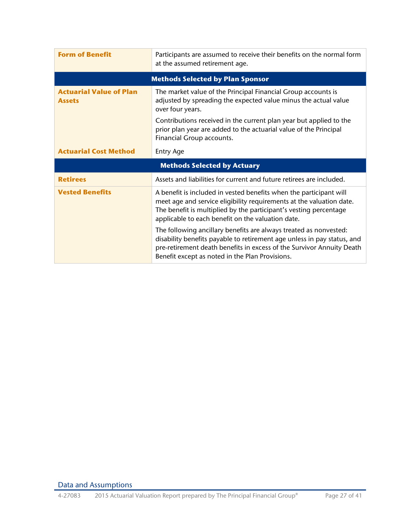<span id="page-26-0"></span>

| <b>Form of Benefit</b>                          | Participants are assumed to receive their benefits on the normal form<br>at the assumed retirement age.                                                                                                                                                              |  |  |
|-------------------------------------------------|----------------------------------------------------------------------------------------------------------------------------------------------------------------------------------------------------------------------------------------------------------------------|--|--|
|                                                 | <b>Methods Selected by Plan Sponsor</b>                                                                                                                                                                                                                              |  |  |
| <b>Actuarial Value of Plan</b><br><b>Assets</b> | The market value of the Principal Financial Group accounts is<br>adjusted by spreading the expected value minus the actual value<br>over four years.                                                                                                                 |  |  |
|                                                 | Contributions received in the current plan year but applied to the<br>prior plan year are added to the actuarial value of the Principal<br>Financial Group accounts.                                                                                                 |  |  |
| <b>Actuarial Cost Method</b>                    | <b>Entry Age</b>                                                                                                                                                                                                                                                     |  |  |
|                                                 | <b>Methods Selected by Actuary</b>                                                                                                                                                                                                                                   |  |  |
| <b>Retirees</b>                                 | Assets and liabilities for current and future retirees are included.                                                                                                                                                                                                 |  |  |
| <b>Vested Benefits</b>                          | A benefit is included in vested benefits when the participant will<br>meet age and service eligibility requirements at the valuation date.<br>The benefit is multiplied by the participant's vesting percentage<br>applicable to each benefit on the valuation date. |  |  |
|                                                 | The following ancillary benefits are always treated as nonvested:<br>disability benefits payable to retirement age unless in pay status, and<br>pre-retirement death benefits in excess of the Survivor Annuity Death                                                |  |  |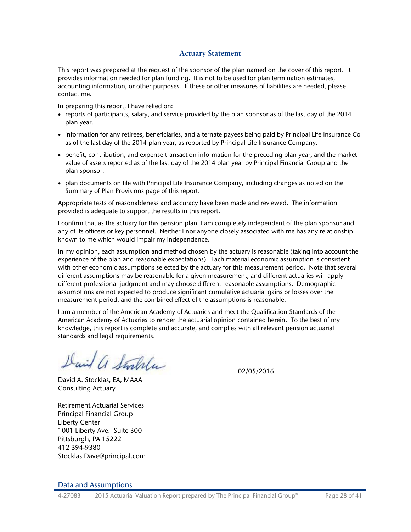## **Actuary Statement**

<span id="page-27-0"></span>This report was prepared at the request of the sponsor of the plan named on the cover of this report. It provides information needed for plan funding. It is not to be used for plan termination estimates, accounting information, or other purposes. If these or other measures of liabilities are needed, please contact me.

In preparing this report, I have relied on:

- reports of participants, salary, and service provided by the plan sponsor as of the last day of the 2014 plan year.
- information for any retirees, beneficiaries, and alternate payees being paid by Principal Life Insurance Co as of the last day of the 2014 plan year, as reported by Principal Life Insurance Company.
- benefit, contribution, and expense transaction information for the preceding plan year, and the market value of assets reported as of the last day of the 2014 plan year by Principal Financial Group and the plan sponsor.
- plan documents on file with Principal Life Insurance Company, including changes as noted on the Summary of Plan Provisions page of this report.

Appropriate tests of reasonableness and accuracy have been made and reviewed. The information provided is adequate to support the results in this report.

I confirm that as the actuary for this pension plan. I am completely independent of the plan sponsor and any of its officers or key personnel. Neither I nor anyone closely associated with me has any relationship known to me which would impair my independence.

In my opinion, each assumption and method chosen by the actuary is reasonable (taking into account the experience of the plan and reasonable expectations). Each material economic assumption is consistent with other economic assumptions selected by the actuary for this measurement period. Note that several different assumptions may be reasonable for a given measurement, and different actuaries will apply different professional judgment and may choose different reasonable assumptions. Demographic assumptions are not expected to produce significant cumulative actuarial gains or losses over the measurement period, and the combined effect of the assumptions is reasonable.

I am a member of the American Academy of Actuaries and meet the Qualification Standards of the American Academy of Actuaries to render the actuarial opinion contained herein. To the best of my knowledge, this report is complete and accurate, and complies with all relevant pension actuarial standards and legal requirements.

David a Stralla

David A. Stocklas, EA, MAAA Consulting Actuary

Retirement Actuarial Services Principal Financial Group Liberty Center 1001 Liberty Ave. Suite 300 Pittsburgh, PA 15222 412 394-9380 Stocklas.Dave@principal.com 02/05/2016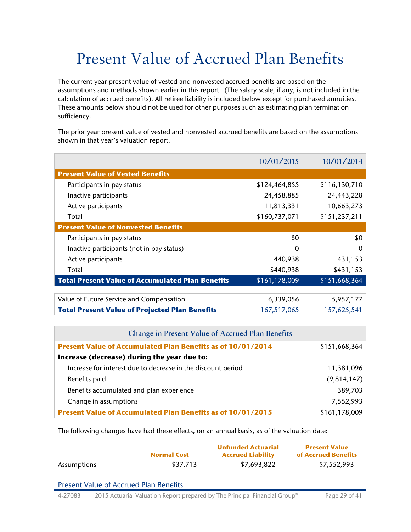# <span id="page-28-1"></span><span id="page-28-0"></span>Present Value of Accrued Plan Benefits

The current year present value of vested and nonvested accrued benefits are based on the assumptions and methods shown earlier in this report. (The salary scale, if any, is not included in the calculation of accrued benefits). All retiree liability is included below except for purchased annuities. These amounts below should not be used for other purposes such as estimating plan termination sufficiency.

The prior year present value of vested and nonvested accrued benefits are based on the assumptions shown in that year's valuation report.

|                                                         | 10/01/2015    | 10/01/2014    |
|---------------------------------------------------------|---------------|---------------|
| <b>Present Value of Vested Benefits</b>                 |               |               |
| Participants in pay status                              | \$124,464,855 | \$116,130,710 |
| Inactive participants                                   | 24,458,885    | 24,443,228    |
| Active participants                                     | 11,813,331    | 10,663,273    |
| Total                                                   | \$160,737,071 | \$151,237,211 |
| <b>Present Value of Nonvested Benefits</b>              |               |               |
| Participants in pay status                              | \$0           | \$0           |
| Inactive participants (not in pay status)               | $\Omega$      | $\Omega$      |
| Active participants                                     | 440,938       | 431,153       |
| Total                                                   | \$440,938     | \$431,153     |
| <b>Total Present Value of Accumulated Plan Benefits</b> | \$161,178,009 | \$151,668,364 |
|                                                         |               |               |
| Value of Future Service and Compensation                | 6,339,056     | 5,957,177     |
| <b>Total Present Value of Projected Plan Benefits</b>   | 167,517,065   | 157,625,541   |

| <b>Change in Present Value of Accrued Plan Benefits</b>      |               |  |
|--------------------------------------------------------------|---------------|--|
| Present Value of Accumulated Plan Benefits as of 10/01/2014  | \$151,668,364 |  |
| Increase (decrease) during the year due to:                  |               |  |
| Increase for interest due to decrease in the discount period | 11,381,096    |  |
| Benefits paid                                                | (9,814,147)   |  |
| Benefits accumulated and plan experience                     | 389,703       |  |
| Change in assumptions                                        | 7,552,993     |  |
| Present Value of Accumulated Plan Benefits as of 10/01/2015  | \$161,178,009 |  |

<span id="page-28-2"></span>The following changes have had these effects, on an annual basis, as of the valuation date:

|             |                    | <b>Unfunded Actuarial</b> | <b>Present Value</b> |
|-------------|--------------------|---------------------------|----------------------|
|             | <b>Normal Cost</b> | <b>Accrued Liability</b>  | of Accrued Benefits  |
| Assumptions | \$37.713           | \$7,693,822               | \$7,552,993          |

## Present Value of Accrued Plan Benefits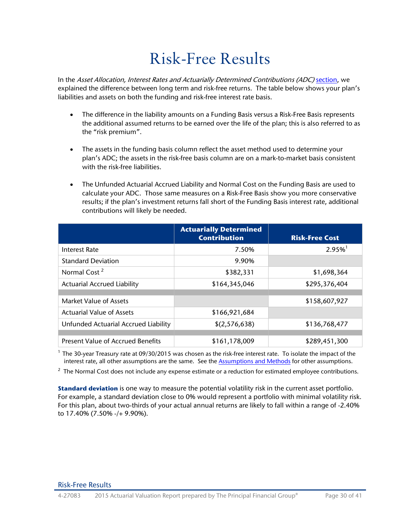# <span id="page-29-0"></span>Risk-Free Results

<span id="page-29-1"></span>In the Asset Allocation, Interest Rates and Actuarially Determined Contributions (ADC) [section,](#page-5-0) we explained the difference between long term and risk-free returns. The table below shows your plan's liabilities and assets on both the funding and risk-free interest rate basis.

- The difference in the liability amounts on a Funding Basis versus a Risk-Free Basis represents the additional assumed returns to be earned over the life of the plan; this is also referred to as the "risk premium".
- The assets in the funding basis column reflect the asset method used to determine your plan's ADC; the assets in the risk-free basis column are on a mark-to-market basis consistent with the risk-free liabilities.
- The Unfunded Actuarial Accrued Liability and Normal Cost on the Funding Basis are used to calculate your ADC. Those same measures on a Risk-Free Basis show you more conservative results; if the plan's investment returns fall short of the Funding Basis interest rate, additional contributions will likely be needed.

|                                      | <b>Actuarially Determined</b><br><b>Contribution</b> | <b>Risk-Free Cost</b> |
|--------------------------------------|------------------------------------------------------|-----------------------|
| <b>Interest Rate</b>                 | 7.50%                                                | $2.95\%$ <sup>1</sup> |
| <b>Standard Deviation</b>            | 9.90%                                                |                       |
| Normal Cost <sup>2</sup>             | \$382,331                                            | \$1,698,364           |
| <b>Actuarial Accrued Liability</b>   | \$164,345,046                                        | \$295,376,404         |
|                                      |                                                      |                       |
| Market Value of Assets               |                                                      | \$158,607,927         |
| <b>Actuarial Value of Assets</b>     | \$166,921,684                                        |                       |
| Unfunded Actuarial Accrued Liability | \$(2,576,638)                                        | \$136,768,477         |
|                                      |                                                      |                       |
| Present Value of Accrued Benefits    | \$161,178,009                                        | \$289,451,300         |

<sup>1</sup> The 30-year Treasury rate at 09/30/2015 was chosen as the risk-free interest rate. To isolate the impact of the interest rate, all other assumptions are the same. See the [Assumptions and Methods](#page-23-1) for other assumptions.

 $2$  The Normal Cost does not include any expense estimate or a reduction for estimated employee contributions.

**Standard deviation** is one way to measure the potential volatility risk in the current asset portfolio. For example, a standard deviation close to 0% would represent a portfolio with minimal volatility risk. For this plan, about two-thirds of your actual annual returns are likely to fall within a range of -2.40% to 17.40% (7.50% -/+ 9.90%).

### Risk-Free Results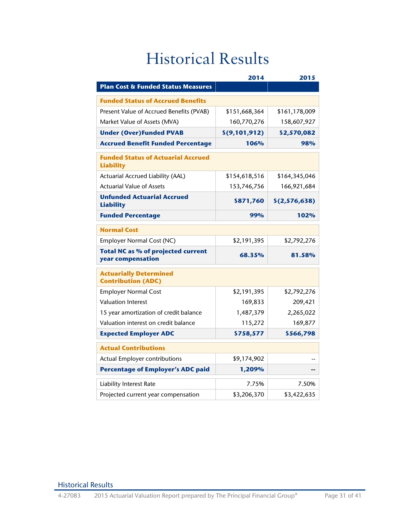# <span id="page-30-0"></span>Historical Results

<span id="page-30-1"></span>

|                                                                | 2014          | 2015            |
|----------------------------------------------------------------|---------------|-----------------|
| <b>Plan Cost &amp; Funded Status Measures</b>                  |               |                 |
| <b>Funded Status of Accrued Benefits</b>                       |               |                 |
| Present Value of Accrued Benefits (PVAB)                       | \$151,668,364 | \$161,178,009   |
| Market Value of Assets (MVA)                                   | 160,770,276   | 158,607,927     |
| <b>Under (Over)Funded PVAB</b>                                 | \$(9,101,912) | \$2,570,082     |
| <b>Accrued Benefit Funded Percentage</b>                       | 106%          | 98%             |
| <b>Funded Status of Actuarial Accrued</b><br><b>Liability</b>  |               |                 |
| Actuarial Accrued Liability (AAL)                              | \$154,618,516 | \$164,345,046   |
| <b>Actuarial Value of Assets</b>                               | 153,746,756   | 166,921,684     |
| <b>Unfunded Actuarial Accrued</b><br><b>Liability</b>          | \$871,760     | \$(2, 576, 638) |
| <b>Funded Percentage</b>                                       | 99%           | 102%            |
| <b>Normal Cost</b>                                             |               |                 |
| Employer Normal Cost (NC)                                      | \$2,191,395   | \$2,792,276     |
| <b>Total NC as % of projected current</b><br>year compensation | 68.35%        | 81.58%          |
| <b>Actuarially Determined</b><br><b>Contribution (ADC)</b>     |               |                 |
| <b>Employer Normal Cost</b>                                    | \$2,191,395   | \$2,792,276     |
| <b>Valuation Interest</b>                                      | 169,833       | 209,421         |
| 15 year amortization of credit balance                         | 1,487,379     | 2,265,022       |
| Valuation interest on credit balance                           | 115,272       | 169,877         |
| <b>Expected Employer ADC</b>                                   | \$758,577     | \$566,798       |
| <b>Actual Contributions</b>                                    |               |                 |
| Actual Employer contributions                                  | \$9,174,902   |                 |
| <b>Percentage of Employer's ADC paid</b>                       | 1,209%        |                 |
| <b>Liability Interest Rate</b>                                 | 7.75%         | 7.50%           |
| Projected current year compensation                            | \$3,206,370   | \$3,422,635     |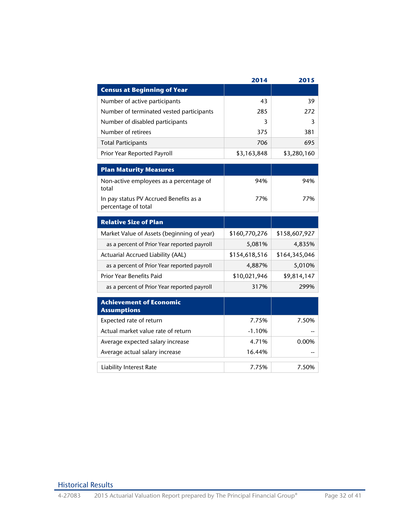|                                                               | 2014          | 2015          |
|---------------------------------------------------------------|---------------|---------------|
| <b>Census at Beginning of Year</b>                            |               |               |
| Number of active participants                                 | 43            | 39            |
| Number of terminated vested participants                      | 285           | 272           |
| Number of disabled participants                               | 3             | 3             |
| Number of retirees                                            | 375           | 381           |
| <b>Total Participants</b>                                     | 706           | 695           |
| Prior Year Reported Payroll                                   | \$3,163,848   | \$3,280,160   |
| <b>Plan Maturity Measures</b>                                 |               |               |
| Non-active employees as a percentage of<br>total              | 94%           | 94%           |
| In pay status PV Accrued Benefits as a<br>percentage of total | 77%           | 77%           |
| <b>Relative Size of Plan</b>                                  |               |               |
| Market Value of Assets (beginning of year)                    | \$160,770,276 | \$158,607,927 |
| as a percent of Prior Year reported payroll                   | 5,081%        | 4,835%        |
| Actuarial Accrued Liability (AAL)                             | \$154,618,516 | \$164,345,046 |
| as a percent of Prior Year reported payroll                   | 4,887%        | 5,010%        |
| <b>Prior Year Benefits Paid</b>                               | \$10,021,946  | \$9,814,147   |
| as a percent of Prior Year reported payroll                   | 317%          | 299%          |
| <b>Achievement of Economic</b><br><b>Assumptions</b>          |               |               |
| Expected rate of return                                       | 7.75%         | 7.50%         |
| Actual market value rate of return                            | $-1.10%$      |               |
| Average expected salary increase                              | 4.71%         | 0.00%         |
| Average actual salary increase                                | 16.44%        |               |
| <b>Liability Interest Rate</b>                                | 7.75%         | 7.50%         |

# Historical Results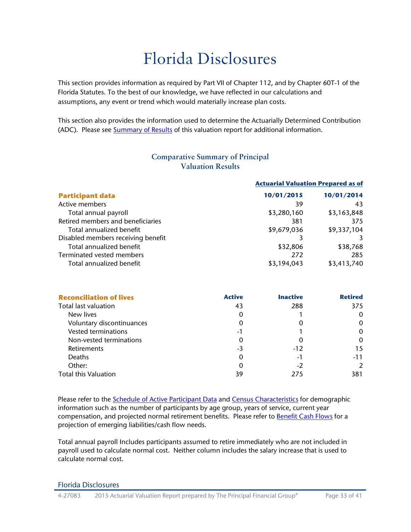# <span id="page-32-0"></span>Florida Disclosures

This section provides information as required by Part VII of Chapter 112, and by Chapter 60T-1 of the Florida Statutes. To the best of our knowledge, we have reflected in our calculations and assumptions, any event or trend which would materially increase plan costs.

This section also provides the information used to determine the Actuarially Determined Contribution (ADC). Please see [Summary of Results](#page-3-3) of this valuation report for additional information.

<span id="page-32-1"></span>

|                                    |             | <b>Actuarial Valuation Prepared as of</b> |  |
|------------------------------------|-------------|-------------------------------------------|--|
| <b>Participant data</b>            | 10/01/2015  | 10/01/2014                                |  |
| Active members                     | 39          | 43                                        |  |
| Total annual payroll               | \$3,280,160 | \$3,163,848                               |  |
| Retired members and beneficiaries  | 381         | 375                                       |  |
| Total annualized benefit           | \$9,679,036 | \$9,337,104                               |  |
| Disabled members receiving benefit |             |                                           |  |
| Total annualized benefit           | \$32,806    | \$38,768                                  |  |
| Terminated vested members          | 272         | 285                                       |  |
| Total annualized benefit           | \$3,194,043 | \$3,413,740                               |  |

| <b>Comparative Summary of Principal</b> |
|-----------------------------------------|
| <b>Valuation Results</b>                |

| <b>Reconciliation of lives</b> | <b>Active</b> | <b>Inactive</b> | <b>Retired</b> |
|--------------------------------|---------------|-----------------|----------------|
| Total last valuation           | 43            | 288             | 375            |
| New lives                      | 0             |                 | 0              |
| Voluntary discontinuances      | 0             |                 | $\Omega$       |
| <b>Vested terminations</b>     | -1            |                 | $\Omega$       |
| Non-vested terminations        | 0             |                 | $\Omega$       |
| Retirements                    | $-3$          | $-12$           | 15             |
| <b>Deaths</b>                  | $\Omega$      | $-1$            | $-11$          |
| Other:                         | 0             | -2              | $\mathcal{P}$  |
| <b>Total this Valuation</b>    | 39            | 275             | 381            |

Please refer to the Schedule of Active Participant Data and [Census Characteristics](#page-15-1) for demographic information such as the number of participants by age group, years of service, current year compensation, and projected normal retirement benefits. Please refer to [Benefit Cash Flows](#page-16-1) for a projection of emerging liabilities/cash flow needs.

Total annual payroll Includes participants assumed to retire immediately who are not included in payroll used to calculate normal cost. Neither column includes the salary increase that is used to calculate normal cost.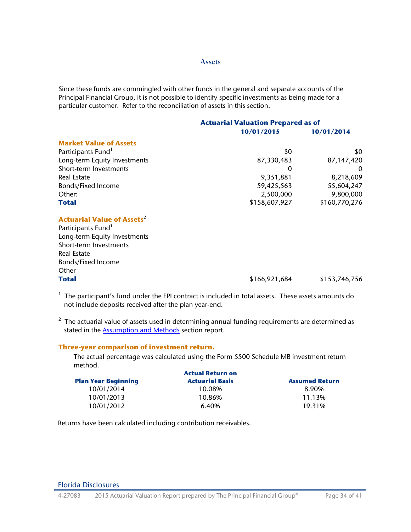#### **Assets**

Since these funds are commingled with other funds in the general and separate accounts of the Principal Financial Group, it is not possible to identify specific investments as being made for a particular customer. Refer to the reconciliation of assets in this section.

|                                              | <b>Actuarial Valuation Prepared as of</b> |               |  |
|----------------------------------------------|-------------------------------------------|---------------|--|
|                                              | 10/01/2015                                | 10/01/2014    |  |
| <b>Market Value of Assets</b>                |                                           |               |  |
| Participants Fund <sup>1</sup>               | \$0                                       | \$0           |  |
| Long-term Equity Investments                 | 87,330,483                                | 87,147,420    |  |
| Short-term Investments                       | 0                                         | $\Omega$      |  |
| <b>Real Estate</b>                           | 9,351,881                                 | 8,218,609     |  |
| <b>Bonds/Fixed Income</b>                    | 59,425,563                                | 55,604,247    |  |
| Other:                                       | 2,500,000                                 | 9,800,000     |  |
| <b>Total</b>                                 | \$158,607,927                             | \$160,770,276 |  |
| <b>Actuarial Value of Assets<sup>2</sup></b> |                                           |               |  |
| Participants Fund <sup>1</sup>               |                                           |               |  |
| Long-term Equity Investments                 |                                           |               |  |
| Short-term Investments                       |                                           |               |  |
| <b>Real Estate</b>                           |                                           |               |  |
| <b>Bonds/Fixed Income</b>                    |                                           |               |  |
| Other                                        |                                           |               |  |
| <b>Total</b>                                 | \$166,921,684                             | \$153,746,756 |  |

 $1$  The participant's fund under the FPI contract is included in total assets. These assets amounts do not include deposits received after the plan year-end.

 $2$  The actuarial value of assets used in determining annual funding requirements are determined as stated in the [Assumption and Methods](#page-23-3) section report.

## **Three-year comparison of investment return.**

The actual percentage was calculated using the Form 5500 Schedule MB investment return method.

| <b>Actual Return on</b>    |                        |                       |  |
|----------------------------|------------------------|-----------------------|--|
| <b>Plan Year Beginning</b> | <b>Actuarial Basis</b> | <b>Assumed Return</b> |  |
| 10/01/2014                 | 10.08%                 | 8.90%                 |  |
| 10/01/2013                 | 10.86%                 | 11.13%                |  |
| 10/01/2012                 | 6.40%                  | 19.31%                |  |

Returns have been calculated including contribution receivables.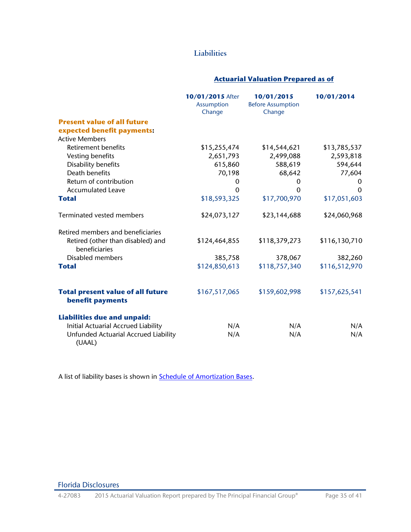# **Liabilities**

## **Actuarial Valuation Prepared as of**

|                                                              | 10/01/2015 After<br><b>Assumption</b><br>Change | 10/01/2015<br><b>Before Assumption</b><br>Change | 10/01/2014    |
|--------------------------------------------------------------|-------------------------------------------------|--------------------------------------------------|---------------|
| <b>Present value of all future</b>                           |                                                 |                                                  |               |
| expected benefit payments:                                   |                                                 |                                                  |               |
| <b>Active Members</b>                                        |                                                 |                                                  |               |
| Retirement benefits                                          | \$15,255,474                                    | \$14,544,621                                     | \$13,785,537  |
| Vesting benefits                                             | 2,651,793                                       | 2,499,088                                        | 2,593,818     |
| Disability benefits                                          | 615,860                                         | 588,619                                          | 594,644       |
| Death benefits                                               | 70,198                                          | 68,642                                           | 77,604        |
| Return of contribution                                       | $\mathbf 0$                                     | $\mathbf{0}$                                     | $\Omega$      |
| <b>Accumulated Leave</b>                                     | $\Omega$                                        | $\Omega$                                         | $\Omega$      |
| <b>Total</b>                                                 | \$18,593,325                                    | \$17,700,970                                     | \$17,051,603  |
| Terminated vested members                                    | \$24,073,127                                    | \$23,144,688                                     | \$24,060,968  |
| Retired members and beneficiaries                            |                                                 |                                                  |               |
| Retired (other than disabled) and<br>beneficiaries           | \$124,464,855                                   | \$118,379,273                                    | \$116,130,710 |
| <b>Disabled members</b>                                      | 385,758                                         | 378,067                                          | 382,260       |
| <b>Total</b>                                                 | \$124,850,613                                   | \$118,757,340                                    | \$116,512,970 |
| <b>Total present value of all future</b><br>benefit payments | \$167,517,065                                   | \$159,602,998                                    | \$157,625,541 |
| <b>Liabilities due and unpaid:</b>                           |                                                 |                                                  |               |
| Initial Actuarial Accrued Liability                          | N/A                                             | N/A                                              | N/A           |
| Unfunded Actuarial Accrued Liability<br>(UAAL)               | N/A                                             | N/A                                              | N/A           |

A list of liability bases is shown in **Schedule of Amortization Bases**.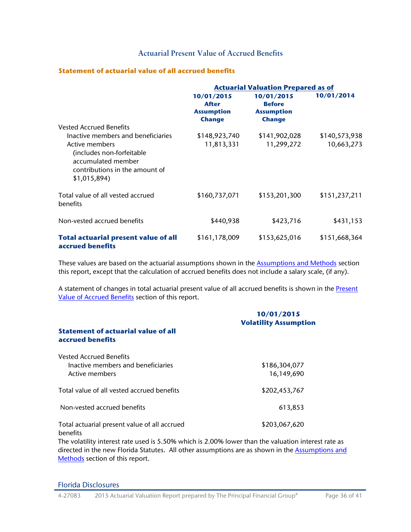# **Actuarial Present Value of Accrued Benefits**

## **Statement of actuarial value of all accrued benefits**

|                                                                                                                                                                                             | <b>Actuarial Valuation Prepared as of</b>                        |                                                                   |                             |  |
|---------------------------------------------------------------------------------------------------------------------------------------------------------------------------------------------|------------------------------------------------------------------|-------------------------------------------------------------------|-----------------------------|--|
|                                                                                                                                                                                             | 10/01/2015<br><b>After</b><br><b>Assumption</b><br><b>Change</b> | 10/01/2015<br><b>Before</b><br><b>Assumption</b><br><b>Change</b> | 10/01/2014                  |  |
| <b>Vested Accrued Benefits</b><br>Inactive members and beneficiaries<br>Active members<br>(includes non-forfeitable<br>accumulated member<br>contributions in the amount of<br>\$1,015,894) | \$148,923,740<br>11,813,331                                      | \$141,902,028<br>11,299,272                                       | \$140,573,938<br>10,663,273 |  |
| Total value of all vested accrued<br>benefits                                                                                                                                               | \$160,737,071                                                    | \$153,201,300                                                     | \$151,237,211               |  |
| Non-vested accrued benefits                                                                                                                                                                 | \$440,938                                                        | \$423,716                                                         | \$431,153                   |  |
| <b>Total actuarial present value of all</b><br>accrued benefits                                                                                                                             | \$161,178,009                                                    | \$153,625,016                                                     | \$151,668,364               |  |

These values are based on the actuarial assumptions shown in the **Assumptions and Methods** section this report, except that the calculation of accrued benefits does not include a salary scale, (if any).

A statement of changes in total actuarial present value of all accrued benefits is shown in the Present [Value of Accrued Benefits](#page-28-1) section of this report.

|                                                                                        | 10/01/2015<br><b>Volatility Assumption</b> |
|----------------------------------------------------------------------------------------|--------------------------------------------|
| Statement of actuarial value of all<br>accrued benefits                                |                                            |
| <b>Vested Accrued Benefits</b><br>Inactive members and beneficiaries<br>Active members | \$186,304,077<br>16,149,690                |
| Total value of all vested accrued benefits                                             | \$202,453,767                              |
| Non-vested accrued benefits                                                            | 613,853                                    |
| Total actuarial present value of all accrued<br><b>benefits</b>                        | \$203,067,620                              |

The volatility interest rate used is 5.50% which is 2.00% lower than the valuation interest rate as directed in the new Florida Statutes. All other assumptions are as shown in the **Assumptions and** [Methods](#page-23-3) section of this report.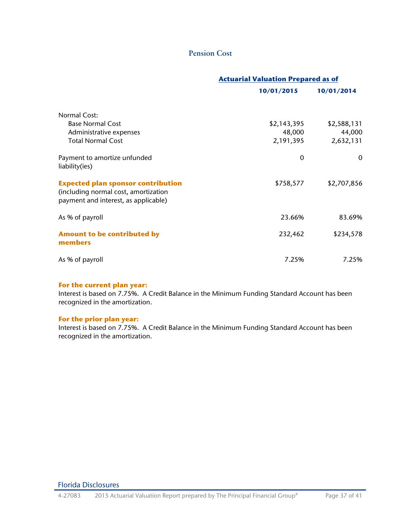## **Pension Cost**

|                                                                                                                           | <b>Actuarial Valuation Prepared as of</b> |             |  |
|---------------------------------------------------------------------------------------------------------------------------|-------------------------------------------|-------------|--|
|                                                                                                                           | 10/01/2015                                | 10/01/2014  |  |
| <b>Normal Cost:</b>                                                                                                       |                                           |             |  |
| <b>Base Normal Cost</b>                                                                                                   | \$2,143,395                               | \$2,588,131 |  |
| Administrative expenses                                                                                                   | 48,000                                    | 44,000      |  |
| <b>Total Normal Cost</b>                                                                                                  | 2,191,395                                 | 2,632,131   |  |
| Payment to amortize unfunded<br>liability(ies)                                                                            | $\Omega$                                  | $\Omega$    |  |
| <b>Expected plan sponsor contribution</b><br>(including normal cost, amortization<br>payment and interest, as applicable) | \$758,577                                 | \$2,707,856 |  |
| As % of payroll                                                                                                           | 23.66%                                    | 83.69%      |  |
| <b>Amount to be contributed by</b><br>members                                                                             | 232,462                                   | \$234,578   |  |
| As % of payroll                                                                                                           | 7.25%                                     | 7.25%       |  |

## **For the current plan year:**

Interest is based on 7.75%. A Credit Balance in the Minimum Funding Standard Account has been recognized in the amortization.

## **For the prior plan year:**

Interest is based on 7.75%. A Credit Balance in the Minimum Funding Standard Account has been recognized in the amortization.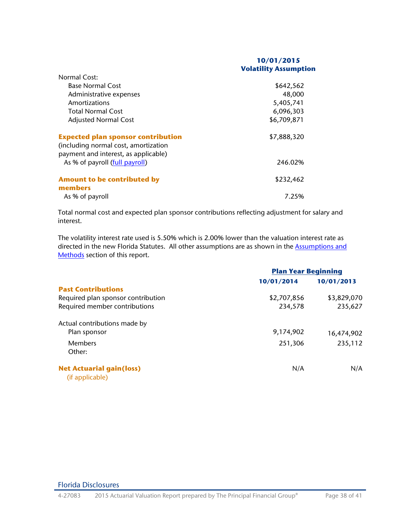### **10/01/2015 Volatility Assumption**

| Normal Cost:                              |             |
|-------------------------------------------|-------------|
| <b>Base Normal Cost</b>                   | \$642,562   |
| Administrative expenses                   | 48,000      |
| Amortizations                             | 5,405,741   |
| <b>Total Normal Cost</b>                  | 6,096,303   |
| <b>Adjusted Normal Cost</b>               | \$6,709,871 |
| <b>Expected plan sponsor contribution</b> | \$7,888,320 |
| (including normal cost, amortization      |             |
| payment and interest, as applicable)      |             |
| As % of payroll (full payroll)            | 246.02%     |
| <b>Amount to be contributed by</b>        | \$232,462   |
| members                                   |             |
| As % of payroll                           | 7.25%       |

Total normal cost and expected plan sponsor contributions reflecting adjustment for salary and interest.

The volatility interest rate used is 5.50% which is 2.00% lower than the valuation interest rate as directed in the new Florida Statutes. All other assumptions are as shown in the **Assumptions and** [Methods](#page-23-3) section of this report.

|                                    | <b>Plan Year Beginning</b> |             |  |
|------------------------------------|----------------------------|-------------|--|
|                                    | 10/01/2014                 | 10/01/2013  |  |
| <b>Past Contributions</b>          |                            |             |  |
| Required plan sponsor contribution | \$2,707,856                | \$3,829,070 |  |
| Required member contributions      | 234,578                    | 235,627     |  |
| Actual contributions made by       |                            |             |  |
| Plan sponsor                       | 9,174,902                  | 16,474,902  |  |
| <b>Members</b>                     | 251,306                    | 235,112     |  |
| Other:                             |                            |             |  |
| <b>Net Actuarial gain(loss)</b>    | N/A                        | N/A         |  |
| (if applicable)                    |                            |             |  |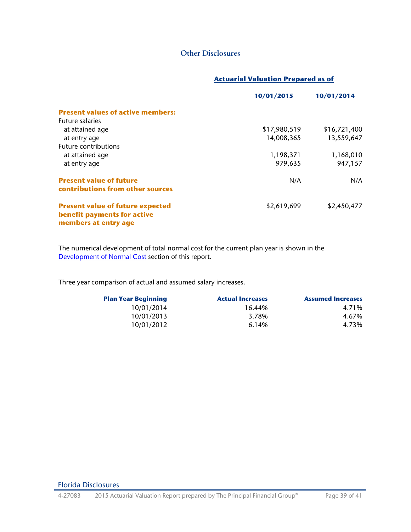# **Other Disclosures**

## **Actuarial Valuation Prepared as of**

|                                                                                                | 10/01/2015   | 10/01/2014   |
|------------------------------------------------------------------------------------------------|--------------|--------------|
| <b>Present values of active members:</b>                                                       |              |              |
| <b>Future salaries</b>                                                                         |              |              |
| at attained age                                                                                | \$17,980,519 | \$16,721,400 |
| at entry age                                                                                   | 14,008,365   | 13,559,647   |
| Future contributions                                                                           |              |              |
| at attained age                                                                                | 1,198,371    | 1,168,010    |
| at entry age                                                                                   | 979,635      | 947,157      |
| <b>Present value of future</b><br>contributions from other sources                             | N/A          | N/A          |
| <b>Present value of future expected</b><br>benefit payments for active<br>members at entry age | \$2,619,699  | \$2,450,477  |

The numerical development of total normal cost for the current plan year is shown in the [Development of Normal Cost](#page-10-3) section of this report.

Three year comparison of actual and assumed salary increases.

| <b>Plan Year Beginning</b> | <b>Actual Increases</b> | <b>Assumed Increases</b> |
|----------------------------|-------------------------|--------------------------|
| 10/01/2014                 | 16.44%                  | 4.71%                    |
| 10/01/2013                 | 3.78%                   | 4.67%                    |
| 10/01/2012                 | 6.14%                   | 4.73%                    |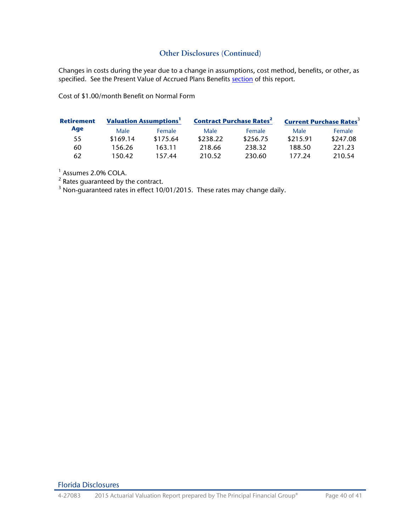# **Other Disclosures (Continued)**

Changes in costs during the year due to a change in assumptions, cost method, benefits, or other, as specified. See the Present Value of Accrued Plans Benefits [section](#page-28-2) of this report.

Cost of \$1.00/month Benefit on Normal Form

| <b>Retirement</b> | <b>Valuation Assumptions<sup>1</sup></b> |          | <b>Contract Purchase Rates<sup>2</sup></b> |          | <b>Current Purchase Rates<sup>3</sup></b> |          |
|-------------------|------------------------------------------|----------|--------------------------------------------|----------|-------------------------------------------|----------|
| Age               | Male                                     | Female   | Male                                       | Female   | Male                                      | Female   |
| 55                | \$169.14                                 | \$175.64 | \$238.22                                   | \$256.75 | \$215.91                                  | \$247.08 |
| 60                | 156.26                                   | 163.11   | 218.66                                     | 238.32   | 188.50                                    | 221.23   |
| 62                | 150.42                                   | 157.44   | 210.52                                     | 230.60   | 177.24                                    | 210.54   |

<sup>1</sup> Assumes 2.0% COLA.

 $2$  Rates guaranteed by the contract.

 $3$  Non-guaranteed rates in effect 10/01/2015. These rates may change daily.